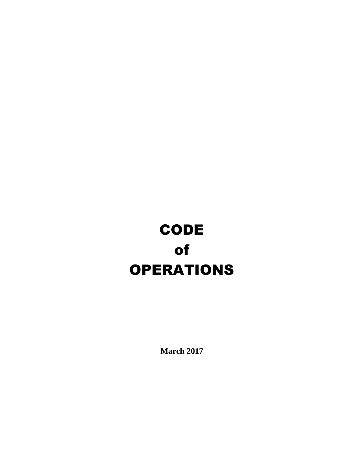# **CODE** of OPERATIONS

**March 2017**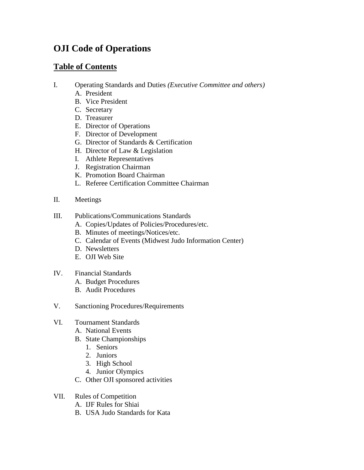# **OJI Code of Operations**

# **Table of Contents**

- I. Operating Standards and Duties *(Executive Committee and others)*
	- A. President
	- B. Vice President
	- C. Secretary
	- D. Treasurer
	- E. Director of Operations
	- F. Director of Development
	- G. Director of Standards & Certification
	- H. Director of Law & Legislation
	- I. Athlete Representatives
	- J. Registration Chairman
	- K. Promotion Board Chairman
	- L. Referee Certification Committee Chairman
- II. Meetings
- III. Publications/Communications Standards
	- A. Copies/Updates of Policies/Procedures/etc.
	- B. Minutes of meetings/Notices/etc.
	- C. Calendar of Events (Midwest Judo Information Center)
	- D. Newsletters
	- E. OJI Web Site
- IV. Financial Standards
	- A. Budget Procedures
	- B. Audit Procedures
- V. Sanctioning Procedures/Requirements
- VI. Tournament Standards
	- A. National Events
	- B. State Championships
		- 1. Seniors
		- 2. Juniors
		- 3. High School
		- 4. Junior Olympics
	- C. Other OJI sponsored activities
- VII. Rules of Competition
	- A. IJF Rules for Shiai
	- B. USA Judo Standards for Kata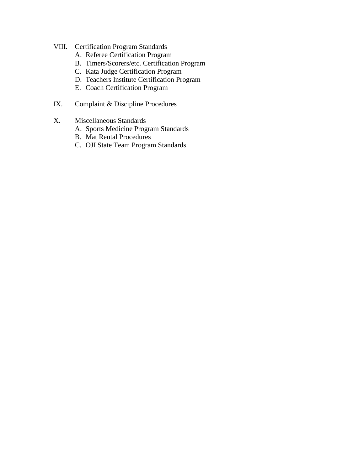- VIII. Certification Program Standards
	- A. Referee Certification Program
	- B. Timers/Scorers/etc. Certification Program
	- C. Kata Judge Certification Program
	- D. Teachers Institute Certification Program
	- E. Coach Certification Program
- IX. Complaint & Discipline Procedures
- X. Miscellaneous Standards
	- A. Sports Medicine Program Standards
	- B. Mat Rental Procedures
	- C. OJI State Team Program Standards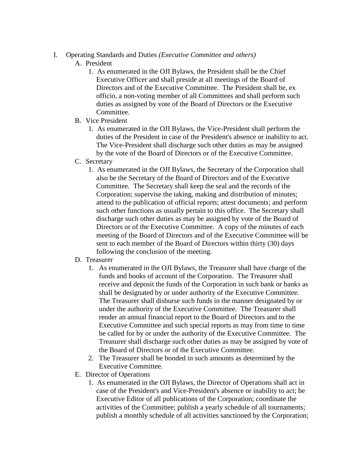### I. Operating Standards and Duties *(Executive Committee and others)*

# A. President

- 1. As enumerated in the OJI Bylaws, the President shall be the Chief Executive Officer and shall preside at all meetings of the Board of Directors and of the Executive Committee. The President shall be, ex officio, a non-voting member of all Committees and shall perform such duties as assigned by vote of the Board of Directors or the Executive Committee.
- B. Vice President
	- 1. As enumerated in the OJI Bylaws, the Vice-President shall perform the duties of the President in case of the President's absence or inability to act. The Vice-President shall discharge such other duties as may be assigned by the vote of the Board of Directors or of the Executive Committee.
- C. Secretary
	- 1. As enumerated in the OJI Bylaws, the Secretary of the Corporation shall also be the Secretary of the Board of Directors and of the Executive Committee. The Secretary shall keep the seal and the records of the Corporation; supervise the taking, making and distribution of minutes; attend to the publication of official reports; attest documents; and perform such other functions as usually pertain to this office. The Secretary shall discharge such other duties as may be assigned by vote of the Board of Directors or of the Executive Committee. A copy of the minutes of each meeting of the Board of Directors and of the Executive Committee will be sent to each member of the Board of Directors within thirty (30) days following the conclusion of the meeting.

# D. Treasurer

- 1. As enumerated in the OJI Bylaws, the Treasurer shall have charge of the funds and books of account of the Corporation. The Treasurer shall receive and deposit the funds of the Corporation in such bank or banks as shall be designated by or under authority of the Executive Committee. The Treasurer shall disburse such funds in the manner designated by or under the authority of the Executive Committee. The Treasurer shall render an annual financial report to the Board of Directors and to the Executive Committee and such special reports as may from time to time be called for by or under the authority of the Executive Committee. The Treasurer shall discharge such other duties as may be assigned by vote of the Board of Directors or of the Executive Committee.
- 2. The Treasurer shall be bonded in such amounts as determined by the Executive Committee.
- E. Director of Operations
	- 1. As enumerated in the OJI Bylaws, the Director of Operations shall act in case of the President's and Vice-President's absence or inability to act; be Executive Editor of all publications of the Corporation; coordinate the activities of the Committee; publish a yearly schedule of all tournaments; publish a monthly schedule of all activities sanctioned by the Corporation;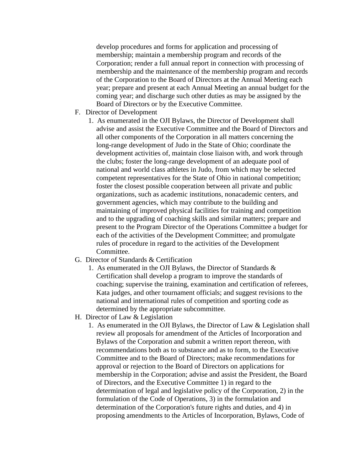develop procedures and forms for application and processing of membership; maintain a membership program and records of the Corporation; render a full annual report in connection with processing of membership and the maintenance of the membership program and records of the Corporation to the Board of Directors at the Annual Meeting each year; prepare and present at each Annual Meeting an annual budget for the coming year; and discharge such other duties as may be assigned by the Board of Directors or by the Executive Committee.

- F. Director of Development
	- 1. As enumerated in the OJI Bylaws, the Director of Development shall advise and assist the Executive Committee and the Board of Directors and all other components of the Corporation in all matters concerning the long-range development of Judo in the State of Ohio; coordinate the development activities of, maintain close liaison with, and work through the clubs; foster the long-range development of an adequate pool of national and world class athletes in Judo, from which may be selected competent representatives for the State of Ohio in national competition; foster the closest possible cooperation between all private and public organizations, such as academic institutions, nonacademic centers, and government agencies, which may contribute to the building and maintaining of improved physical facilities for training and competition and to the upgrading of coaching skills and similar matters; prepare and present to the Program Director of the Operations Committee a budget for each of the activities of the Development Committee; and promulgate rules of procedure in regard to the activities of the Development Committee.
- G. Director of Standards & Certification
	- 1. As enumerated in the OJI Bylaws, the Director of Standards & Certification shall develop a program to improve the standards of coaching; supervise the training, examination and certification of referees, Kata judges, and other tournament officials; and suggest revisions to the national and international rules of competition and sporting code as determined by the appropriate subcommittee.
- H. Director of Law & Legislation
	- 1. As enumerated in the OJI Bylaws, the Director of Law & Legislation shall review all proposals for amendment of the Articles of Incorporation and Bylaws of the Corporation and submit a written report thereon, with recommendations both as to substance and as to form, to the Executive Committee and to the Board of Directors; make recommendations for approval or rejection to the Board of Directors on applications for membership in the Corporation; advise and assist the President, the Board of Directors, and the Executive Committee 1) in regard to the determination of legal and legislative policy of the Corporation, 2) in the formulation of the Code of Operations, 3) in the formulation and determination of the Corporation's future rights and duties, and 4) in proposing amendments to the Articles of Incorporation, Bylaws, Code of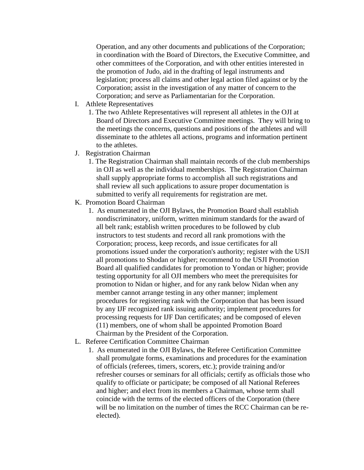Operation, and any other documents and publications of the Corporation; in coordination with the Board of Directors, the Executive Committee, and other committees of the Corporation, and with other entities interested in the promotion of Judo, aid in the drafting of legal instruments and legislation; process all claims and other legal action filed against or by the Corporation; assist in the investigation of any matter of concern to the Corporation; and serve as Parliamentarian for the Corporation.

- I. Athlete Representatives
	- 1. The two Athlete Representatives will represent all athletes in the OJI at Board of Directors and Executive Committee meetings. They will bring to the meetings the concerns, questions and positions of the athletes and will disseminate to the athletes all actions, programs and information pertinent to the athletes.
- J. Registration Chairman
	- 1. The Registration Chairman shall maintain records of the club memberships in OJI as well as the individual memberships. The Registration Chairman shall supply appropriate forms to accomplish all such registrations and shall review all such applications to assure proper documentation is submitted to verify all requirements for registration are met.
- K. Promotion Board Chairman
	- 1. As enumerated in the OJI Bylaws, the Promotion Board shall establish nondiscriminatory, uniform, written minimum standards for the award of all belt rank; establish written procedures to be followed by club instructors to test students and record all rank promotions with the Corporation; process, keep records, and issue certificates for all promotions issued under the corporation's authority; register with the USJI all promotions to Shodan or higher; recommend to the USJI Promotion Board all qualified candidates for promotion to Yondan or higher; provide testing opportunity for all OJI members who meet the prerequisites for promotion to Nidan or higher, and for any rank below Nidan when any member cannot arrange testing in any other manner; implement procedures for registering rank with the Corporation that has been issued by any IJF recognized rank issuing authority; implement procedures for processing requests for IJF Dan certificates; and be composed of eleven (11) members, one of whom shall be appointed Promotion Board Chairman by the President of the Corporation.
- L. Referee Certification Committee Chairman
	- 1. As enumerated in the OJI Bylaws, the Referee Certification Committee shall promulgate forms, examinations and procedures for the examination of officials (referees, timers, scorers, etc.); provide training and/or refresher courses or seminars for all officials; certify as officials those who qualify to officiate or participate; be composed of all National Referees and higher; and elect from its members a Chairman, whose term shall coincide with the terms of the elected officers of the Corporation (there will be no limitation on the number of times the RCC Chairman can be reelected).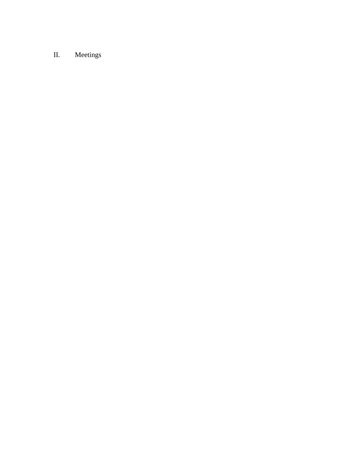# II. Meetings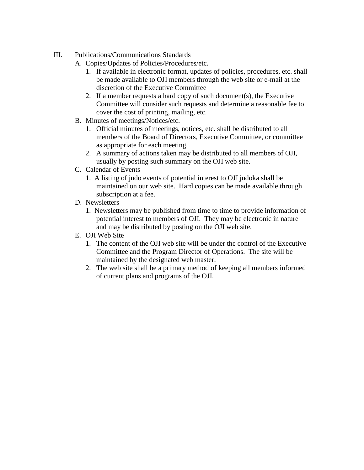- III. Publications/Communications Standards
	- A. Copies/Updates of Policies/Procedures/etc.
		- 1. If available in electronic format, updates of policies, procedures, etc. shall be made available to OJI members through the web site or e-mail at the discretion of the Executive Committee
		- 2. If a member requests a hard copy of such document(s), the Executive Committee will consider such requests and determine a reasonable fee to cover the cost of printing, mailing, etc.
	- B. Minutes of meetings/Notices/etc.
		- 1. Official minutes of meetings, notices, etc. shall be distributed to all members of the Board of Directors, Executive Committee, or committee as appropriate for each meeting.
		- 2. A summary of actions taken may be distributed to all members of OJI, usually by posting such summary on the OJI web site.
	- C. Calendar of Events
		- 1. A listing of judo events of potential interest to OJI judoka shall be maintained on our web site. Hard copies can be made available through subscription at a fee.
	- D. Newsletters
		- 1. Newsletters may be published from time to time to provide information of potential interest to members of OJI. They may be electronic in nature and may be distributed by posting on the OJI web site.
	- E. OJI Web Site
		- 1. The content of the OJI web site will be under the control of the Executive Committee and the Program Director of Operations. The site will be maintained by the designated web master.
		- 2. The web site shall be a primary method of keeping all members informed of current plans and programs of the OJI.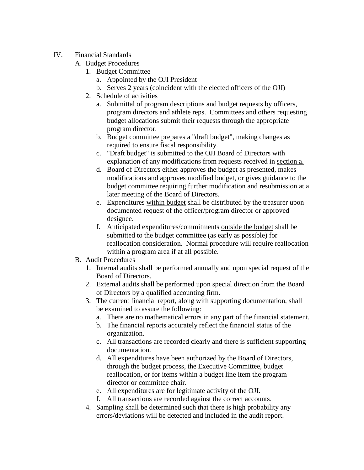# IV. Financial Standards

- A. Budget Procedures
	- 1. Budget Committee
		- a. Appointed by the OJI President
		- b. Serves 2 years (coincident with the elected officers of the OJI)
	- 2. Schedule of activities
		- a. Submittal of program descriptions and budget requests by officers, program directors and athlete reps. Committees and others requesting budget allocations submit their requests through the appropriate program director.
		- b. Budget committee prepares a "draft budget", making changes as required to ensure fiscal responsibility.
		- c. "Draft budget" is submitted to the OJI Board of Directors with explanation of any modifications from requests received in section a.
		- d. Board of Directors either approves the budget as presented, makes modifications and approves modified budget, or gives guidance to the budget committee requiring further modification and resubmission at a later meeting of the Board of Directors.
		- e. Expenditures within budget shall be distributed by the treasurer upon documented request of the officer/program director or approved designee.
		- f. Anticipated expenditures/commitments outside the budget shall be submitted to the budget committee (as early as possible) for reallocation consideration. Normal procedure will require reallocation within a program area if at all possible.
- B. Audit Procedures
	- 1. Internal audits shall be performed annually and upon special request of the Board of Directors.
	- 2. External audits shall be performed upon special direction from the Board of Directors by a qualified accounting firm.
	- 3. The current financial report, along with supporting documentation, shall be examined to assure the following:
		- a. There are no mathematical errors in any part of the financial statement.
		- b. The financial reports accurately reflect the financial status of the organization.
		- c. All transactions are recorded clearly and there is sufficient supporting documentation.
		- d. All expenditures have been authorized by the Board of Directors, through the budget process, the Executive Committee, budget reallocation, or for items within a budget line item the program director or committee chair.
		- e. All expenditures are for legitimate activity of the OJI.
		- f. All transactions are recorded against the correct accounts.
	- 4. Sampling shall be determined such that there is high probability any errors/deviations will be detected and included in the audit report.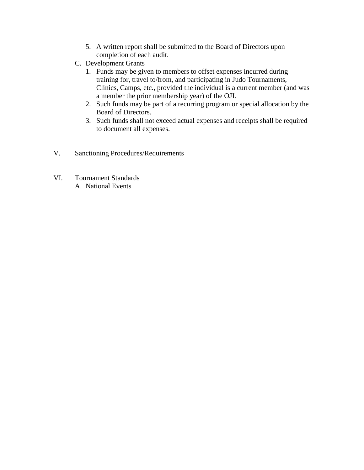- 5. A written report shall be submitted to the Board of Directors upon completion of each audit.
- C. Development Grants
	- 1. Funds may be given to members to offset expenses incurred during training for, travel to/from, and participating in Judo Tournaments, Clinics, Camps, etc., provided the individual is a current member (and was a member the prior membership year) of the OJI.
	- 2. Such funds may be part of a recurring program or special allocation by the Board of Directors.
	- 3. Such funds shall not exceed actual expenses and receipts shall be required to document all expenses.
- V. Sanctioning Procedures/Requirements
- VI. Tournament Standards A. National Events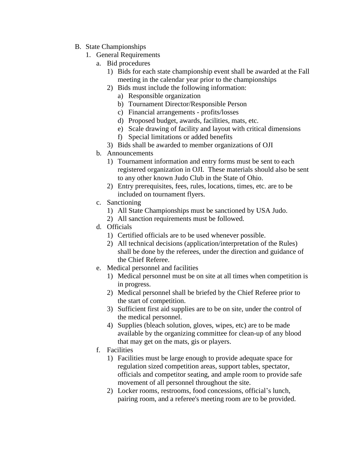- B. State Championships
	- 1. General Requirements
		- a. Bid procedures
			- 1) Bids for each state championship event shall be awarded at the Fall meeting in the calendar year prior to the championships
			- 2) Bids must include the following information:
				- a) Responsible organization
				- b) Tournament Director/Responsible Person
				- c) Financial arrangements profits/losses
				- d) Proposed budget, awards, facilities, mats, etc.
				- e) Scale drawing of facility and layout with critical dimensions
				- f) Special limitations or added benefits
			- 3) Bids shall be awarded to member organizations of OJI
		- b. Announcements
			- 1) Tournament information and entry forms must be sent to each registered organization in OJI. These materials should also be sent to any other known Judo Club in the State of Ohio.
			- 2) Entry prerequisites, fees, rules, locations, times, etc. are to be included on tournament flyers.
		- c. Sanctioning
			- 1) All State Championships must be sanctioned by USA Judo.
			- 2) All sanction requirements must be followed.
		- d. Officials
			- 1) Certified officials are to be used whenever possible.
			- 2) All technical decisions (application/interpretation of the Rules) shall be done by the referees, under the direction and guidance of the Chief Referee.
		- e. Medical personnel and facilities
			- 1) Medical personnel must be on site at all times when competition is in progress.
			- 2) Medical personnel shall be briefed by the Chief Referee prior to the start of competition.
			- 3) Sufficient first aid supplies are to be on site, under the control of the medical personnel.
			- 4) Supplies (bleach solution, gloves, wipes, etc) are to be made available by the organizing committee for clean-up of any blood that may get on the mats, gis or players.
		- f. Facilities
			- 1) Facilities must be large enough to provide adequate space for regulation sized competition areas, support tables, spectator, officials and competitor seating, and ample room to provide safe movement of all personnel throughout the site.
			- 2) Locker rooms, restrooms, food concessions, official's lunch, pairing room, and a referee's meeting room are to be provided.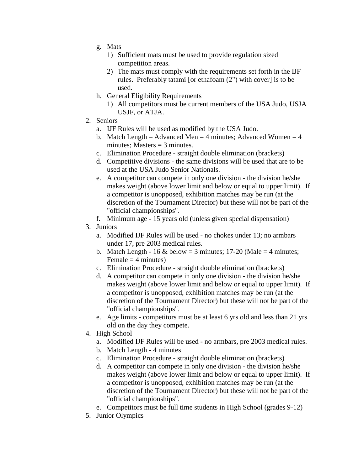- g. Mats
	- 1) Sufficient mats must be used to provide regulation sized competition areas.
	- 2) The mats must comply with the requirements set forth in the IJF rules. Preferably tatami [or ethafoam (2") with cover] is to be used.
- h. General Eligibility Requirements
	- 1) All competitors must be current members of the USA Judo, USJA USJF, or ATJA.
- 2. Seniors
	- a. IJF Rules will be used as modified by the USA Judo.
	- b. Match Length Advanced Men = 4 minutes; Advanced Women = 4 minutes; Masters  $=$  3 minutes.
	- c. Elimination Procedure straight double elimination (brackets)
	- d. Competitive divisions the same divisions will be used that are to be used at the USA Judo Senior Nationals.
	- e. A competitor can compete in only one division the division he/she makes weight (above lower limit and below or equal to upper limit). If a competitor is unopposed, exhibition matches may be run (at the discretion of the Tournament Director) but these will not be part of the "official championships".
	- f. Minimum age 15 years old (unless given special dispensation)
- 3. Juniors
	- a. Modified IJF Rules will be used no chokes under 13; no armbars under 17, pre 2003 medical rules.
	- b. Match Length 16 & below = 3 minutes; 17-20 (Male = 4 minutes; Female  $=$  4 minutes)
	- c. Elimination Procedure straight double elimination (brackets)
	- d. A competitor can compete in only one division the division he/she makes weight (above lower limit and below or equal to upper limit). If a competitor is unopposed, exhibition matches may be run (at the discretion of the Tournament Director) but these will not be part of the "official championships".
	- e. Age limits competitors must be at least 6 yrs old and less than 21 yrs old on the day they compete.
- 4. High School
	- a. Modified IJF Rules will be used no armbars, pre 2003 medical rules.
	- b. Match Length 4 minutes
	- c. Elimination Procedure straight double elimination (brackets)
	- d. A competitor can compete in only one division the division he/she makes weight (above lower limit and below or equal to upper limit). If a competitor is unopposed, exhibition matches may be run (at the discretion of the Tournament Director) but these will not be part of the "official championships".
	- e. Competitors must be full time students in High School (grades 9-12)
- 5. Junior Olympics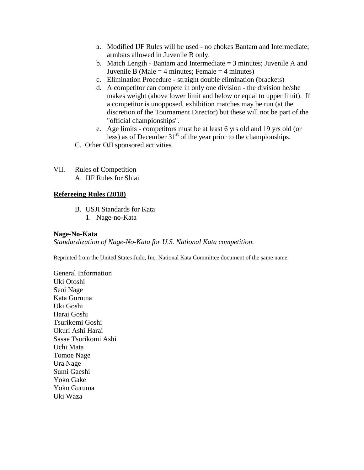- a. Modified IJF Rules will be used no chokes Bantam and Intermediate; armbars allowed in Juvenile B only.
- b. Match Length Bantam and Intermediate  $=$  3 minutes; Juvenile A and Juvenile B (Male  $=$  4 minutes; Female  $=$  4 minutes)
- c. Elimination Procedure straight double elimination (brackets)
- d. A competitor can compete in only one division the division he/she makes weight (above lower limit and below or equal to upper limit). If a competitor is unopposed, exhibition matches may be run (at the discretion of the Tournament Director) but these will not be part of the "official championships".
- e. Age limits competitors must be at least 6 yrs old and 19 yrs old (or less) as of December  $31<sup>st</sup>$  of the year prior to the championships.
- C. Other OJI sponsored activities
- VII. Rules of Competition A. IJF Rules for Shiai

#### **Refereeing Rules (2018)**

- B. USJI Standards for Kata
	- 1. Nage-no-Kata

#### **Nage-No-Kata**

*Standardization of Nage-No-Kata for U.S. National Kata competition.*

Reprinted from the United States Judo, Inc. National Kata Committee document of the same name.

General Information Uki Otoshi Seoi Nage Kata Guruma Uki Goshi Harai Goshi Tsurikomi Goshi Okuri Ashi Harai Sasae Tsurikomi Ashi Uchi Mata Tomoe Nage Ura Nage Sumi Gaeshi Yoko Gake Yoko Guruma Uki Waza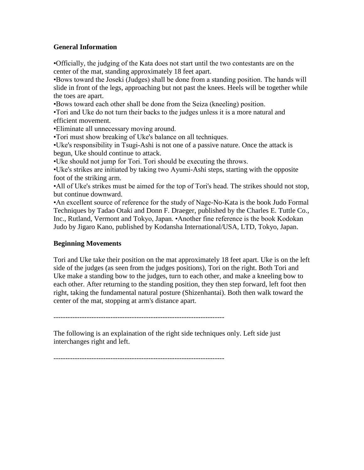#### **General Information**

•Officially, the judging of the Kata does not start until the two contestants are on the center of the mat, standing approximately 18 feet apart.

•Bows toward the Joseki (Judges) shall be done from a standing position. The hands will slide in front of the legs, approaching but not past the knees. Heels will be together while the toes are apart.

•Bows toward each other shall be done from the Seiza (kneeling) position.

•Tori and Uke do not turn their backs to the judges unless it is a more natural and efficient movement.

•Eliminate all unnecessary moving around.

•Tori must show breaking of Uke's balance on all techniques.

•Uke's responsibility in Tsugi-Ashi is not one of a passive nature. Once the attack is begun, Uke should continue to attack.

•Uke should not jump for Tori. Tori should be executing the throws.

•Uke's strikes are initiated by taking two Ayumi-Ashi steps, starting with the opposite foot of the striking arm.

•All of Uke's strikes must be aimed for the top of Tori's head. The strikes should not stop, but continue downward.

•An excellent source of reference for the study of Nage-No-Kata is the book Judo Formal Techniques by Tadao Otaki and Donn F. Draeger, published by the Charles E. Tuttle Co., Inc., Rutland, Vermont and Tokyo, Japan. •Another fine reference is the book Kodokan Judo by Jigaro Kano, published by Kodansha International/USA, LTD, Tokyo, Japan.

### **Beginning Movements**

Tori and Uke take their position on the mat approximately 18 feet apart. Uke is on the left side of the judges (as seen from the judges positions), Tori on the right. Both Tori and Uke make a standing bow to the judges, turn to each other, and make a kneeling bow to each other. After returning to the standing position, they then step forward, left foot then right, taking the fundamental natural posture (Shizenhantai). Both then walk toward the center of the mat, stopping at arm's distance apart.

------------------------------------------------------------------------

The following is an explaination of the right side techniques only. Left side just interchanges right and left.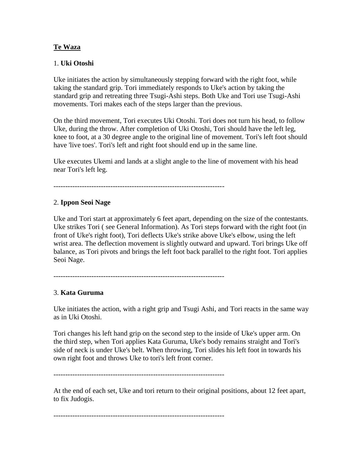#### **Te Waza**

#### 1. **Uki Otoshi**

Uke initiates the action by simultaneously stepping forward with the right foot, while taking the standard grip. Tori immediately responds to Uke's action by taking the standard grip and retreating three Tsugi-Ashi steps. Both Uke and Tori use Tsugi-Ashi movements. Tori makes each of the steps larger than the previous.

On the third movement, Tori executes Uki Otoshi. Tori does not turn his head, to follow Uke, during the throw. After completion of Uki Otoshi, Tori should have the left leg, knee to foot, at a 30 degree angle to the original line of movement. Tori's left foot should have 'live toes'. Tori's left and right foot should end up in the same line.

Uke executes Ukemi and lands at a slight angle to the line of movement with his head near Tori's left leg.

#### 2. **Ippon Seoi Nage**

Uke and Tori start at approximately 6 feet apart, depending on the size of the contestants. Uke strikes Tori ( see General Information). As Tori steps forward with the right foot (in front of Uke's right foot), Tori deflects Uke's strike above Uke's elbow, using the left wrist area. The deflection movement is slightly outward and upward. Tori brings Uke off balance, as Tori pivots and brings the left foot back parallel to the right foot. Tori applies Seoi Nage.

------------------------------------------------------------------------

### 3. **Kata Guruma**

Uke initiates the action, with a right grip and Tsugi Ashi, and Tori reacts in the same way as in Uki Otoshi.

Tori changes his left hand grip on the second step to the inside of Uke's upper arm. On the third step, when Tori applies Kata Guruma, Uke's body remains straight and Tori's side of neck is under Uke's belt. When throwing, Tori slides his left foot in towards his own right foot and throws Uke to tori's left front corner.

------------------------------------------------------------------------

At the end of each set, Uke and tori return to their original positions, about 12 feet apart, to fix Judogis.

------------------------------------------------------------------------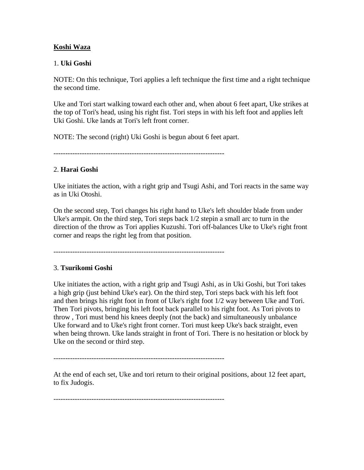#### **Koshi Waza**

#### 1. **Uki Goshi**

NOTE: On this technique, Tori applies a left technique the first time and a right technique the second time.

Uke and Tori start walking toward each other and, when about 6 feet apart, Uke strikes at the top of Tori's head, using his right fist. Tori steps in with his left foot and applies left Uki Goshi. Uke lands at Tori's left front corner.

NOTE: The second (right) Uki Goshi is begun about 6 feet apart.

------------------------------------------------------------------------

### 2. **Harai Goshi**

Uke initiates the action, with a right grip and Tsugi Ashi, and Tori reacts in the same way as in Uki Otoshi.

On the second step, Tori changes his right hand to Uke's left shoulder blade from under Uke's armpit. On the third step, Tori steps back 1/2 stepin a small arc to turn in the direction of the throw as Tori applies Kuzushi. Tori off-balances Uke to Uke's right front corner and reaps the right leg from that position.

------------------------------------------------------------------------

### 3. **Tsurikomi Goshi**

Uke initiates the action, with a right grip and Tsugi Ashi, as in Uki Goshi, but Tori takes a high grip (just behind Uke's ear). On the third step, Tori steps back with his left foot and then brings his right foot in front of Uke's right foot 1/2 way between Uke and Tori. Then Tori pivots, bringing his left foot back parallel to his right foot. As Tori pivots to throw , Tori must bend his knees deeply (not the back) and simultaneously unbalance Uke forward and to Uke's right front corner. Tori must keep Uke's back straight, even when being thrown. Uke lands straight in front of Tori. There is no hesitation or block by Uke on the second or third step.

At the end of each set, Uke and tori return to their original positions, about 12 feet apart, to fix Judogis.

------------------------------------------------------------------------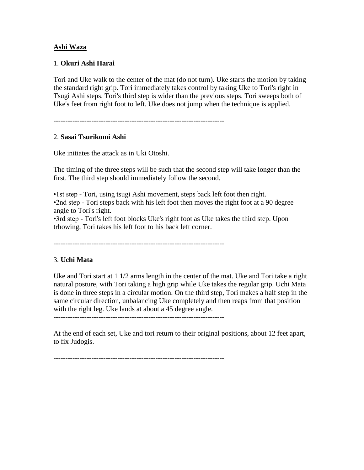#### **Ashi Waza**

#### 1. **Okuri Ashi Harai**

Tori and Uke walk to the center of the mat (do not turn). Uke starts the motion by taking the standard right grip. Tori immediately takes control by taking Uke to Tori's right in Tsugi Ashi steps. Tori's third step is wider than the previous steps. Tori sweeps both of Uke's feet from right foot to left. Uke does not jump when the technique is applied.

------------------------------------------------------------------------

#### 2. **Sasai Tsurikomi Ashi**

Uke initiates the attack as in Uki Otoshi.

The timing of the three steps will be such that the second step will take longer than the first. The third step should immediately follow the second.

•1st step - Tori, using tsugi Ashi movement, steps back left foot then right. •2nd step - Tori steps back with his left foot then moves the right foot at a 90 degree angle to Tori's right.

•3rd step - Tori's left foot blocks Uke's right foot as Uke takes the third step. Upon trhowing, Tori takes his left foot to his back left corner.

------------------------------------------------------------------------

#### 3. **Uchi Mata**

Uke and Tori start at 1 1/2 arms length in the center of the mat. Uke and Tori take a right natural posture, with Tori taking a high grip while Uke takes the regular grip. Uchi Mata is done in three steps in a circular motion. On the third step, Tori makes a half step in the same circular direction, unbalancing Uke completely and then reaps from that position with the right leg. Uke lands at about a 45 degree angle.

------------------------------------------------------------------------

At the end of each set, Uke and tori return to their original positions, about 12 feet apart, to fix Judogis.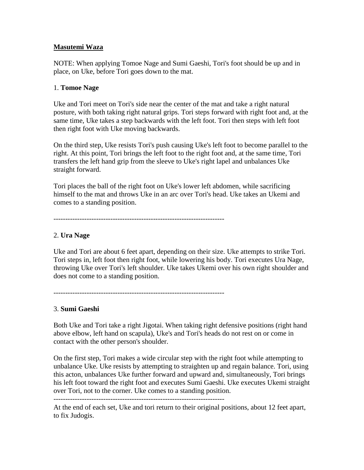### **Masutemi Waza**

NOTE: When applying Tomoe Nage and Sumi Gaeshi, Tori's foot should be up and in place, on Uke, before Tori goes down to the mat.

#### 1. **Tomoe Nage**

Uke and Tori meet on Tori's side near the center of the mat and take a right natural posture, with both taking right natural grips. Tori steps forward with right foot and, at the same time, Uke takes a step backwards with the left foot. Tori then steps with left foot then right foot with Uke moving backwards.

On the third step, Uke resists Tori's push causing Uke's left foot to become parallel to the right. At this point, Tori brings the left foot to the right foot and, at the same time, Tori transfers the left hand grip from the sleeve to Uke's right lapel and unbalances Uke straight forward.

Tori places the ball of the right foot on Uke's lower left abdomen, while sacrificing himself to the mat and throws Uke in an arc over Tori's head. Uke takes an Ukemi and comes to a standing position.

------------------------------------------------------------------------

### 2. **Ura Nage**

Uke and Tori are about 6 feet apart, depending on their size. Uke attempts to strike Tori. Tori steps in, left foot then right foot, while lowering his body. Tori executes Ura Nage, throwing Uke over Tori's left shoulder. Uke takes Ukemi over his own right shoulder and does not come to a standing position.

### 3. **Sumi Gaeshi**

Both Uke and Tori take a right Jigotai. When taking right defensive positions (right hand above elbow, left hand on scapula), Uke's and Tori's heads do not rest on or come in contact with the other person's shoulder.

On the first step, Tori makes a wide circular step with the right foot while attempting to unbalance Uke. Uke resists by attempting to straighten up and regain balance. Tori, using this acton, unbalances Uke further forward and upward and, simultaneously, Tori brings his left foot toward the right foot and executes Sumi Gaeshi. Uke executes Ukemi straight over Tori, not to the corner. Uke comes to a standing position. ------------------------------------------------------------------------

At the end of each set, Uke and tori return to their original positions, about 12 feet apart, to fix Judogis.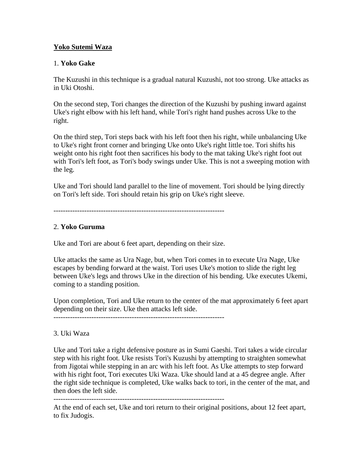### **Yoko Sutemi Waza**

#### 1. **Yoko Gake**

The Kuzushi in this technique is a gradual natural Kuzushi, not too strong. Uke attacks as in Uki Otoshi.

On the second step, Tori changes the direction of the Kuzushi by pushing inward against Uke's right elbow with his left hand, while Tori's right hand pushes across Uke to the right.

On the third step, Tori steps back with his left foot then his right, while unbalancing Uke to Uke's right front corner and bringing Uke onto Uke's right little toe. Tori shifts his weight onto his right foot then sacrifices his body to the mat taking Uke's right foot out with Tori's left foot, as Tori's body swings under Uke. This is not a sweeping motion with the leg.

Uke and Tori should land parallel to the line of movement. Tori should be lying directly on Tori's left side. Tori should retain his grip on Uke's right sleeve.

------------------------------------------------------------------------

# 2. **Yoko Guruma**

Uke and Tori are about 6 feet apart, depending on their size.

Uke attacks the same as Ura Nage, but, when Tori comes in to execute Ura Nage, Uke escapes by bending forward at the waist. Tori uses Uke's motion to slide the right leg between Uke's legs and throws Uke in the direction of his bending. Uke executes Ukemi, coming to a standing position.

Upon completion, Tori and Uke return to the center of the mat approximately 6 feet apart depending on their size. Uke then attacks left side.

------------------------------------------------------------------------

#### 3. Uki Waza

Uke and Tori take a right defensive posture as in Sumi Gaeshi. Tori takes a wide circular step with his right foot. Uke resists Tori's Kuzushi by attempting to straighten somewhat from Jigotai while stepping in an arc with his left foot. As Uke attempts to step forward with his right foot, Tori executes Uki Waza. Uke should land at a 45 degree angle. After the right side technique is completed, Uke walks back to tori, in the center of the mat, and then does the left side.

------------------------------------------------------------------------

At the end of each set, Uke and tori return to their original positions, about 12 feet apart, to fix Judogis.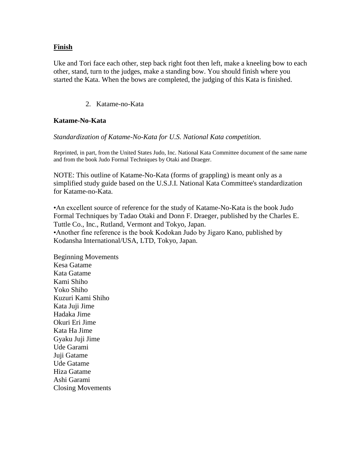#### **Finish**

Uke and Tori face each other, step back right foot then left, make a kneeling bow to each other, stand, turn to the judges, make a standing bow. You should finish where you started the Kata. When the bows are completed, the judging of this Kata is finished.

2. Katame-no-Kata

#### **Katame-No-Kata**

#### *Standardization of Katame-No-Kata for U.S. National Kata competition.*

Reprinted, in part, from the United States Judo, Inc. National Kata Committee document of the same name and from the book Judo Formal Techniques by Otaki and Draeger.

NOTE: This outline of Katame-No-Kata (forms of grappling) is meant only as a simplified study guide based on the U.S.J.I. National Kata Committee's standardization for Katame-no-Kata.

•An excellent source of reference for the study of Katame-No-Kata is the book Judo Formal Techniques by Tadao Otaki and Donn F. Draeger, published by the Charles E. Tuttle Co., Inc., Rutland, Vermont and Tokyo, Japan. •Another fine reference is the book Kodokan Judo by Jigaro Kano, published by Kodansha International/USA, LTD, Tokyo, Japan.

Beginning Movements Kesa Gatame Kata Gatame Kami Shiho Yoko Shiho Kuzuri Kami Shiho Kata Juji Jime Hadaka Jime Okuri Eri Jime Kata Ha Jime Gyaku Juji Jime Ude Garami Juji Gatame Ude Gatame Hiza Gatame Ashi Garami Closing Movements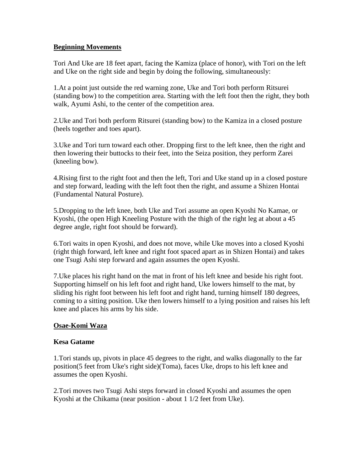#### **Beginning Movements**

Tori And Uke are 18 feet apart, facing the Kamiza (place of honor), with Tori on the left and Uke on the right side and begin by doing the following, simultaneously:

1.At a point just outside the red warning zone, Uke and Tori both perform Ritsurei (standing bow) to the competition area. Starting with the left foot then the right, they both walk, Ayumi Ashi, to the center of the competition area.

2.Uke and Tori both perform Ritsurei (standing bow) to the Kamiza in a closed posture (heels together and toes apart).

3.Uke and Tori turn toward each other. Dropping first to the left knee, then the right and then lowering their buttocks to their feet, into the Seiza position, they perform Zarei (kneeling bow).

4.Rising first to the right foot and then the left, Tori and Uke stand up in a closed posture and step forward, leading with the left foot then the right, and assume a Shizen Hontai (Fundamental Natural Posture).

5.Dropping to the left knee, both Uke and Tori assume an open Kyoshi No Kamae, or Kyoshi, (the open High Kneeling Posture with the thigh of the right leg at about a 45 degree angle, right foot should be forward).

6.Tori waits in open Kyoshi, and does not move, while Uke moves into a closed Kyoshi (right thigh forward, left knee and right foot spaced apart as in Shizen Hontai) and takes one Tsugi Ashi step forward and again assumes the open Kyoshi.

7.Uke places his right hand on the mat in front of his left knee and beside his right foot. Supporting himself on his left foot and right hand, Uke lowers himself to the mat, by sliding his right foot between his left foot and right hand, turning himself 180 degrees, coming to a sitting position. Uke then lowers himself to a lying position and raises his left knee and places his arms by his side.

### **Osae-Komi Waza**

### **Kesa Gatame**

1.Tori stands up, pivots in place 45 degrees to the right, and walks diagonally to the far position(5 feet from Uke's right side)(Toma), faces Uke, drops to his left knee and assumes the open Kyoshi.

2.Tori moves two Tsugi Ashi steps forward in closed Kyoshi and assumes the open Kyoshi at the Chikama (near position - about 1 1/2 feet from Uke).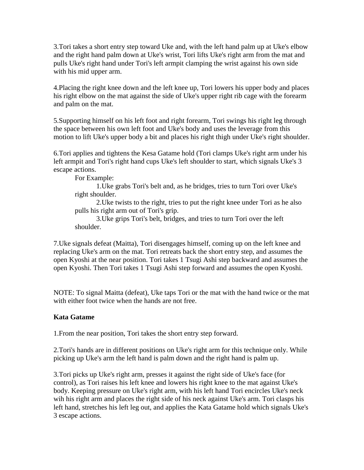3.Tori takes a short entry step toward Uke and, with the left hand palm up at Uke's elbow and the right hand palm down at Uke's wrist, Tori lifts Uke's right arm from the mat and pulls Uke's right hand under Tori's left armpit clamping the wrist against his own side with his mid upper arm.

4.Placing the right knee down and the left knee up, Tori lowers his upper body and places his right elbow on the mat against the side of Uke's upper right rib cage with the forearm and palm on the mat.

5.Supporting himself on his left foot and right forearm, Tori swings his right leg through the space between his own left foot and Uke's body and uses the leverage from this motion to lift Uke's upper body a bit and places his right thigh under Uke's right shoulder.

6.Tori applies and tightens the Kesa Gatame hold (Tori clamps Uke's right arm under his left armpit and Tori's right hand cups Uke's left shoulder to start, which signals Uke's 3 escape actions.

For Example:

1.Uke grabs Tori's belt and, as he bridges, tries to turn Tori over Uke's right shoulder.

2.Uke twists to the right, tries to put the right knee under Tori as he also pulls his right arm out of Tori's grip.

3.Uke grips Tori's belt, bridges, and tries to turn Tori over the left shoulder.

7.Uke signals defeat (Maitta), Tori disengages himself, coming up on the left knee and replacing Uke's arm on the mat. Tori retreats back the short entry step, and assumes the open Kyoshi at the near position. Tori takes 1 Tsugi Ashi step backward and assumes the open Kyoshi. Then Tori takes 1 Tsugi Ashi step forward and assumes the open Kyoshi.

NOTE: To signal Maitta (defeat), Uke taps Tori or the mat with the hand twice or the mat with either foot twice when the hands are not free.

### **Kata Gatame**

1.From the near position, Tori takes the short entry step forward.

2.Tori's hands are in different positions on Uke's right arm for this technique only. While picking up Uke's arm the left hand is palm down and the right hand is palm up.

3.Tori picks up Uke's right arm, presses it against the right side of Uke's face (for control), as Tori raises his left knee and lowers his right knee to the mat against Uke's body. Keeping pressure on Uke's right arm, with his left hand Tori encircles Uke's neck wih his right arm and places the right side of his neck against Uke's arm. Tori clasps his left hand, stretches his left leg out, and applies the Kata Gatame hold which signals Uke's 3 escape actions.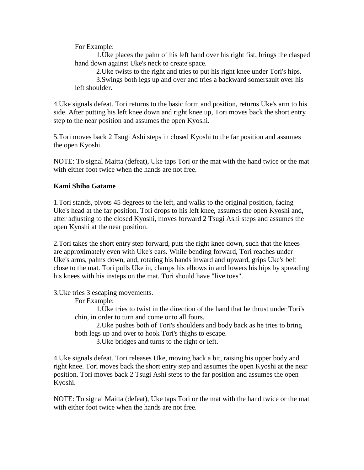For Example:

1.Uke places the palm of his left hand over his right fist, brings the clasped hand down against Uke's neck to create space.

2.Uke twists to the right and tries to put his right knee under Tori's hips.

3.Swings both legs up and over and tries a backward somersault over his left shoulder.

4.Uke signals defeat. Tori returns to the basic form and position, returns Uke's arm to his side. After putting his left knee down and right knee up, Tori moves back the short entry step to the near position and assumes the open Kyoshi.

5.Tori moves back 2 Tsugi Ashi steps in closed Kyoshi to the far position and assumes the open Kyoshi.

NOTE: To signal Maitta (defeat), Uke taps Tori or the mat with the hand twice or the mat with either foot twice when the hands are not free.

#### **Kami Shiho Gatame**

1.Tori stands, pivots 45 degrees to the left, and walks to the original position, facing Uke's head at the far position. Tori drops to his left knee, assumes the open Kyoshi and, after adjusting to the closed Kyoshi, moves forward 2 Tsugi Ashi steps and assumes the open Kyoshi at the near position.

2.Tori takes the short entry step forward, puts the right knee down, such that the knees are approximately even with Uke's ears. While bending forward, Tori reaches under Uke's arms, palms down, and, rotating his hands inward and upward, grips Uke's belt close to the mat. Tori pulls Uke in, clamps his elbows in and lowers his hips by spreading his knees with his insteps on the mat. Tori should have "live toes".

3.Uke tries 3 escaping movements.

For Example:

1.Uke tries to twist in the direction of the hand that he thrust under Tori's chin, in order to turn and come onto all fours.

2.Uke pushes both of Tori's shoulders and body back as he tries to bring both legs up and over to hook Tori's thighs to escape.

3.Uke bridges and turns to the right or left.

4.Uke signals defeat. Tori releases Uke, moving back a bit, raising his upper body and right knee. Tori moves back the short entry step and assumes the open Kyoshi at the near position. Tori moves back 2 Tsugi Ashi steps to the far position and assumes the open Kyoshi.

NOTE: To signal Maitta (defeat), Uke taps Tori or the mat with the hand twice or the mat with either foot twice when the hands are not free.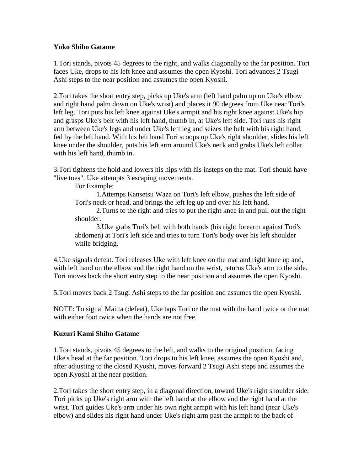#### **Yoko Shiho Gatame**

1.Tori stands, pivots 45 degrees to the right, and walks diagonally to the far position. Tori faces Uke, drops to his left knee and assumes the open Kyoshi. Tori advances 2 Tsugi Ashi steps to the near position and assumes the open Kyoshi.

2.Tori takes the short entry step, picks up Uke's arm (left hand palm up on Uke's elbow and right hand palm down on Uke's wrist) and places it 90 degrees from Uke near Tori's left leg. Tori puts his left knee against Uke's armpit and his right knee against Uke's hip and grasps Uke's belt with his left hand, thumb in, at Uke's left side. Tori runs his right arm between Uke's legs and under Uke's left leg and seizes the belt with his right hand, fed by the left hand. With his left hand Tori scoops up Uke's right shoulder, slides his left knee under the shoulder, puts his left arm around Uke's neck and grabs Uke's left collar with his left hand, thumb in.

3.Tori tightens the hold and lowers his hips with his insteps on the mat. Tori should have "live toes". Uke attempts 3 escaping movements.

For Example:

1.Attemps Kansetsu Waza on Tori's left elbow, pushes the left side of Tori's neck or head, and brings the left leg up and over his left hand.

2.Turns to the right and tries to put the right knee in and pull out the right shoulder.

3.Uke grabs Tori's belt with both hands (his right forearm against Tori's abdomen) at Tori's left side and tries to turn Tori's body over his left shoulder while bridging.

4.Uke signals defeat. Tori releases Uke with left knee on the mat and right knee up and, with left hand on the elbow and the right hand on the wrist, returns Uke's arm to the side. Tori moves back the short entry step to the near position and assumes the open Kyoshi.

5.Tori moves back 2 Tsugi Ashi steps to the far position and assumes the open Kyoshi.

NOTE: To signal Maitta (defeat), Uke taps Tori or the mat with the hand twice or the mat with either foot twice when the hands are not free.

### **Kuzuri Kami Shiho Gatame**

1.Tori stands, pivots 45 degrees to the left, and walks to the original position, facing Uke's head at the far position. Tori drops to his left knee, assumes the open Kyoshi and, after adjusting to the closed Kyoshi, moves forward 2 Tsugi Ashi steps and assumes the open Kyoshi at the near position.

2.Tori takes the short entry step, in a diagonal direction, toward Uke's right shoulder side. Tori picks up Uke's right arm with the left hand at the elbow and the right hand at the wrist. Tori guides Uke's arm under his own right armpit with his left hand (near Uke's elbow) and slides his right hand under Uke's right arm past the armpit to the back of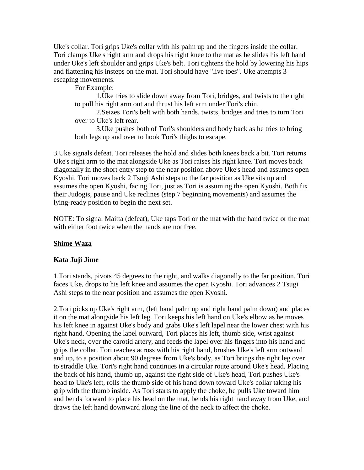Uke's collar. Tori grips Uke's collar with his palm up and the fingers inside the collar. Tori clamps Uke's right arm and drops his right knee to the mat as he slides his left hand under Uke's left shoulder and grips Uke's belt. Tori tightens the hold by lowering his hips and flattening his insteps on the mat. Tori should have "live toes". Uke attempts 3 escaping movements.

For Example:

1.Uke tries to slide down away from Tori, bridges, and twists to the right to pull his right arm out and thrust his left arm under Tori's chin.

2.Seizes Tori's belt with both hands, twists, bridges and tries to turn Tori over to Uke's left rear.

3.Uke pushes both of Tori's shoulders and body back as he tries to bring both legs up and over to hook Tori's thighs to escape.

3.Uke signals defeat. Tori releases the hold and slides both knees back a bit. Tori returns Uke's right arm to the mat alongside Uke as Tori raises his right knee. Tori moves back diagonally in the short entry step to the near position above Uke's head and assumes open Kyoshi. Tori moves back 2 Tsugi Ashi steps to the far position as Uke sits up and assumes the open Kyoshi, facing Tori, just as Tori is assuming the open Kyoshi. Both fix their Judogis, pause and Uke reclines (step 7 beginning movements) and assumes the lying-ready position to begin the next set.

NOTE: To signal Maitta (defeat), Uke taps Tori or the mat with the hand twice or the mat with either foot twice when the hands are not free.

### **Shime Waza**

### **Kata Juji Jime**

1.Tori stands, pivots 45 degrees to the right, and walks diagonally to the far position. Tori faces Uke, drops to his left knee and assumes the open Kyoshi. Tori advances 2 Tsugi Ashi steps to the near position and assumes the open Kyoshi.

2.Tori picks up Uke's right arm, (left hand palm up and right hand palm down) and places it on the mat alongside his left leg. Tori keeps his left hand on Uke's elbow as he moves his left knee in against Uke's body and grabs Uke's left lapel near the lower chest with his right hand. Opening the lapel outward, Tori places his left, thumb side, wrist against Uke's neck, over the carotid artery, and feeds the lapel over his fingers into his hand and grips the collar. Tori reaches across with his right hand, brushes Uke's left arm outward and up, to a position about 90 degrees from Uke's body, as Tori brings the right leg over to straddle Uke. Tori's right hand continues in a circular route around Uke's head. Placing the back of his hand, thumb up, against the right side of Uke's head, Tori pushes Uke's head to Uke's left, rolls the thumb side of his hand down toward Uke's collar taking his grip with the thumb inside. As Tori starts to apply the choke, he pulls Uke toward him and bends forward to place his head on the mat, bends his right hand away from Uke, and draws the left hand downward along the line of the neck to affect the choke.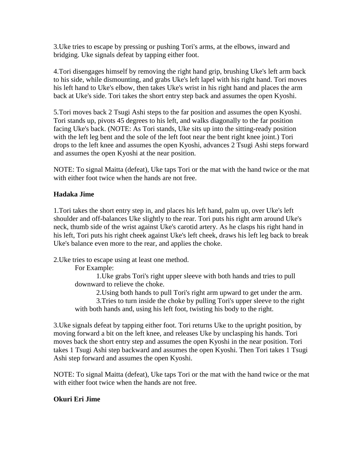3.Uke tries to escape by pressing or pushing Tori's arms, at the elbows, inward and bridging. Uke signals defeat by tapping either foot.

4.Tori disengages himself by removing the right hand grip, brushing Uke's left arm back to his side, while dismounting, and grabs Uke's left lapel with his right hand. Tori moves his left hand to Uke's elbow, then takes Uke's wrist in his right hand and places the arm back at Uke's side. Tori takes the short entry step back and assumes the open Kyoshi.

5.Tori moves back 2 Tsugi Ashi steps to the far position and assumes the open Kyoshi. Tori stands up, pivots 45 degrees to his left, and walks diagonally to the far position facing Uke's back. (NOTE: As Tori stands, Uke sits up into the sitting-ready position with the left leg bent and the sole of the left foot near the bent right knee joint.) Tori drops to the left knee and assumes the open Kyoshi, advances 2 Tsugi Ashi steps forward and assumes the open Kyoshi at the near position.

NOTE: To signal Maitta (defeat), Uke taps Tori or the mat with the hand twice or the mat with either foot twice when the hands are not free.

### **Hadaka Jime**

1.Tori takes the short entry step in, and places his left hand, palm up, over Uke's left shoulder and off-balances Uke slightly to the rear. Tori puts his right arm around Uke's neck, thumb side of the wrist against Uke's carotid artery. As he clasps his right hand in his left, Tori puts his right cheek against Uke's left cheek, draws his left leg back to break Uke's balance even more to the rear, and applies the choke.

2.Uke tries to escape using at least one method.

For Example:

1.Uke grabs Tori's right upper sleeve with both hands and tries to pull downward to relieve the choke.

2.Using both hands to pull Tori's right arm upward to get under the arm. 3.Tries to turn inside the choke by pulling Tori's upper sleeve to the right with both hands and, using his left foot, twisting his body to the right.

3.Uke signals defeat by tapping either foot. Tori returns Uke to the upright position, by moving forward a bit on the left knee, and releases Uke by unclasping his hands. Tori moves back the short entry step and assumes the open Kyoshi in the near position. Tori takes 1 Tsugi Ashi step backward and assumes the open Kyoshi. Then Tori takes 1 Tsugi Ashi step forward and assumes the open Kyoshi.

NOTE: To signal Maitta (defeat), Uke taps Tori or the mat with the hand twice or the mat with either foot twice when the hands are not free.

### **Okuri Eri Jime**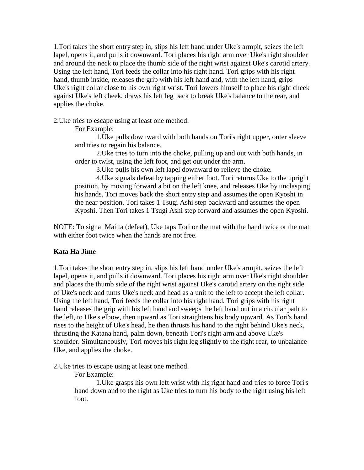1.Tori takes the short entry step in, slips his left hand under Uke's armpit, seizes the left lapel, opens it, and pulls it downward. Tori places his right arm over Uke's right shoulder and around the neck to place the thumb side of the right wrist against Uke's carotid artery. Using the left hand, Tori feeds the collar into his right hand. Tori grips with his right hand, thumb inside, releases the grip with his left hand and, with the left hand, grips Uke's right collar close to his own right wrist. Tori lowers himself to place his right cheek against Uke's left cheek, draws his left leg back to break Uke's balance to the rear, and applies the choke.

2.Uke tries to escape using at least one method.

For Example:

1.Uke pulls downward with both hands on Tori's right upper, outer sleeve and tries to regain his balance.

2.Uke tries to turn into the choke, pulling up and out with both hands, in order to twist, using the left foot, and get out under the arm.

3.Uke pulls his own left lapel downward to relieve the choke.

4.Uke signals defeat by tapping either foot. Tori returns Uke to the upright position, by moving forward a bit on the left knee, and releases Uke by unclasping his hands. Tori moves back the short entry step and assumes the open Kyoshi in the near position. Tori takes 1 Tsugi Ashi step backward and assumes the open Kyoshi. Then Tori takes 1 Tsugi Ashi step forward and assumes the open Kyoshi.

NOTE: To signal Maitta (defeat), Uke taps Tori or the mat with the hand twice or the mat with either foot twice when the hands are not free.

### **Kata Ha Jime**

1.Tori takes the short entry step in, slips his left hand under Uke's armpit, seizes the left lapel, opens it, and pulls it downward. Tori places his right arm over Uke's right shoulder and places the thumb side of the right wrist against Uke's carotid artery on the right side of Uke's neck and turns Uke's neck and head as a unit to the left to accept the left collar. Using the left hand, Tori feeds the collar into his right hand. Tori grips with his right hand releases the grip with his left hand and sweeps the left hand out in a circular path to the left, to Uke's elbow, then upward as Tori straightens his body upward. As Tori's hand rises to the height of Uke's head, he then thrusts his hand to the right behind Uke's neck, thrusting the Katana hand, palm down, beneath Tori's right arm and above Uke's shoulder. Simultaneously, Tori moves his right leg slightly to the right rear, to unbalance Uke, and applies the choke.

2.Uke tries to escape using at least one method.

For Example:

1.Uke grasps his own left wrist with his right hand and tries to force Tori's hand down and to the right as Uke tries to turn his body to the right using his left foot.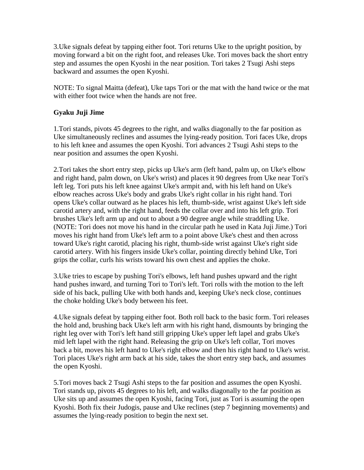3.Uke signals defeat by tapping either foot. Tori returns Uke to the upright position, by moving forward a bit on the right foot, and releases Uke. Tori moves back the short entry step and assumes the open Kyoshi in the near position. Tori takes 2 Tsugi Ashi steps backward and assumes the open Kyoshi.

NOTE: To signal Maitta (defeat), Uke taps Tori or the mat with the hand twice or the mat with either foot twice when the hands are not free.

# **Gyaku Juji Jime**

1.Tori stands, pivots 45 degrees to the right, and walks diagonally to the far position as Uke simultaneously reclines and assumes the lying-ready position. Tori faces Uke, drops to his left knee and assumes the open Kyoshi. Tori advances 2 Tsugi Ashi steps to the near position and assumes the open Kyoshi.

2.Tori takes the short entry step, picks up Uke's arm (left hand, palm up, on Uke's elbow and right hand, palm down, on Uke's wrist) and places it 90 degrees from Uke near Tori's left leg. Tori puts his left knee against Uke's armpit and, with his left hand on Uke's elbow reaches across Uke's body and grabs Uke's right collar in his right hand. Tori opens Uke's collar outward as he places his left, thumb-side, wrist against Uke's left side carotid artery and, with the right hand, feeds the collar over and into his left grip. Tori brushes Uke's left arm up and out to about a 90 degree angle while straddling Uke. (NOTE: Tori does not move his hand in the circular path he used in Kata Juji Jime.) Tori moves his right hand from Uke's left arm to a point above Uke's chest and then across toward Uke's right carotid, placing his right, thumb-side wrist against Uke's right side carotid artery. With his fingers inside Uke's collar, pointing directly behind Uke, Tori grips the collar, curls his wrists toward his own chest and applies the choke.

3.Uke tries to escape by pushing Tori's elbows, left hand pushes upward and the right hand pushes inward, and turning Tori to Tori's left. Tori rolls with the motion to the left side of his back, pulling Uke with both hands and, keeping Uke's neck close, continues the choke holding Uke's body between his feet.

4.Uke signals defeat by tapping either foot. Both roll back to the basic form. Tori releases the hold and, brushing back Uke's left arm with his right hand, dismounts by bringing the right leg over with Tori's left hand still gripping Uke's upper left lapel and grabs Uke's mid left lapel with the right hand. Releasing the grip on Uke's left collar, Tori moves back a bit, moves his left hand to Uke's right elbow and then his right hand to Uke's wrist. Tori places Uke's right arm back at his side, takes the short entry step back, and assumes the open Kyoshi.

5.Tori moves back 2 Tsugi Ashi steps to the far position and assumes the open Kyoshi. Tori stands up, pivots 45 degrees to his left, and walks diagonally to the far position as Uke sits up and assumes the open Kyoshi, facing Tori, just as Tori is assuming the open Kyoshi. Both fix their Judogis, pause and Uke reclines (step 7 beginning movements) and assumes the lying-ready position to begin the next set.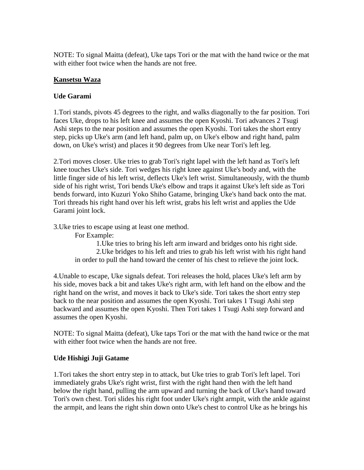NOTE: To signal Maitta (defeat), Uke taps Tori or the mat with the hand twice or the mat with either foot twice when the hands are not free.

# **Kansetsu Waza**

# **Ude Garami**

1.Tori stands, pivots 45 degrees to the right, and walks diagonally to the far position. Tori faces Uke, drops to his left knee and assumes the open Kyoshi. Tori advances 2 Tsugi Ashi steps to the near position and assumes the open Kyoshi. Tori takes the short entry step, picks up Uke's arm (and left hand, palm up, on Uke's elbow and right hand, palm down, on Uke's wrist) and places it 90 degrees from Uke near Tori's left leg.

2.Tori moves closer. Uke tries to grab Tori's right lapel with the left hand as Tori's left knee touches Uke's side. Tori wedges his right knee against Uke's body and, with the little finger side of his left wrist, deflects Uke's left wrist. Simultaneously, with the thumb side of his right wrist, Tori bends Uke's elbow and traps it against Uke's left side as Tori bends forward, into Kuzuri Yoko Shiho Gatame, bringing Uke's hand back onto the mat. Tori threads his right hand over his left wrist, grabs his left wrist and applies the Ude Garami joint lock.

3.Uke tries to escape using at least one method.

For Example:

1.Uke tries to bring his left arm inward and bridges onto his right side. 2.Uke bridges to his left and tries to grab his left wrist with his right hand in order to pull the hand toward the center of his chest to relieve the joint lock.

4.Unable to escape, Uke signals defeat. Tori releases the hold, places Uke's left arm by his side, moves back a bit and takes Uke's right arm, with left hand on the elbow and the right hand on the wrist, and moves it back to Uke's side. Tori takes the short entry step back to the near position and assumes the open Kyoshi. Tori takes 1 Tsugi Ashi step backward and assumes the open Kyoshi. Then Tori takes 1 Tsugi Ashi step forward and assumes the open Kyoshi.

NOTE: To signal Maitta (defeat), Uke taps Tori or the mat with the hand twice or the mat with either foot twice when the hands are not free.

### **Ude Hishigi Juji Gatame**

1.Tori takes the short entry step in to attack, but Uke tries to grab Tori's left lapel. Tori immediately grabs Uke's right wrist, first with the right hand then with the left hand below the right hand, pulling the arm upward and turning the back of Uke's hand toward Tori's own chest. Tori slides his right foot under Uke's right armpit, with the ankle against the armpit, and leans the right shin down onto Uke's chest to control Uke as he brings his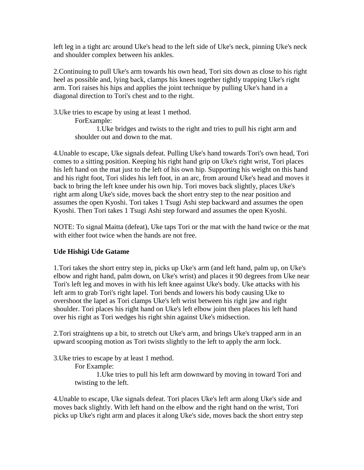left leg in a tight arc around Uke's head to the left side of Uke's neck, pinning Uke's neck and shoulder complex between his ankles.

2.Continuing to pull Uke's arm towards his own head, Tori sits down as close to his right heel as possible and, lying back, clamps his knees together tightly trapping Uke's right arm. Tori raises his hips and applies the joint technique by pulling Uke's hand in a diagonal direction to Tori's chest and to the right.

3.Uke tries to escape by using at least 1 method.

ForExample:

1.Uke bridges and twists to the right and tries to pull his right arm and shoulder out and down to the mat.

4.Unable to escape, Uke signals defeat. Pulling Uke's hand towards Tori's own head, Tori comes to a sitting position. Keeping his right hand grip on Uke's right wrist, Tori places his left hand on the mat just to the left of his own hip. Supporting his weight on this hand and his right foot, Tori slides his left foot, in an arc, from around Uke's head and moves it back to bring the left knee under his own hip. Tori moves back slightly, places Uke's right arm along Uke's side, moves back the short entry step to the near position and assumes the open Kyoshi. Tori takes 1 Tsugi Ashi step backward and assumes the open Kyoshi. Then Tori takes 1 Tsugi Ashi step forward and assumes the open Kyoshi.

NOTE: To signal Maitta (defeat), Uke taps Tori or the mat with the hand twice or the mat with either foot twice when the hands are not free.

### **Ude Hishigi Ude Gatame**

1.Tori takes the short entry step in, picks up Uke's arm (and left hand, palm up, on Uke's elbow and right hand, palm down, on Uke's wrist) and places it 90 degrees from Uke near Tori's left leg and moves in with his left knee against Uke's body. Uke attacks with his left arm to grab Tori's right lapel. Tori bends and lowers his body causing Uke to overshoot the lapel as Tori clamps Uke's left wrist between his right jaw and right shoulder. Tori places his right hand on Uke's left elbow joint then places his left hand over his right as Tori wedges his right shin against Uke's midsection.

2.Tori straightens up a bit, to stretch out Uke's arm, and brings Uke's trapped arm in an upward scooping motion as Tori twists slightly to the left to apply the arm lock.

3.Uke tries to escape by at least 1 method.

For Example:

1.Uke tries to pull his left arm downward by moving in toward Tori and twisting to the left.

4.Unable to escape, Uke signals defeat. Tori places Uke's left arm along Uke's side and moves back slightly. With left hand on the elbow and the right hand on the wrist, Tori picks up Uke's right arm and places it along Uke's side, moves back the short entry step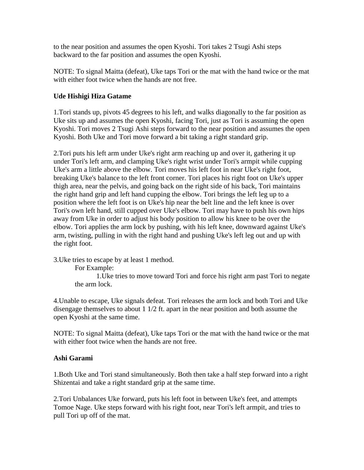to the near position and assumes the open Kyoshi. Tori takes 2 Tsugi Ashi steps backward to the far position and assumes the open Kyoshi.

NOTE: To signal Maitta (defeat), Uke taps Tori or the mat with the hand twice or the mat with either foot twice when the hands are not free.

# **Ude Hishigi Hiza Gatame**

1.Tori stands up, pivots 45 degrees to his left, and walks diagonally to the far position as Uke sits up and assumes the open Kyoshi, facing Tori, just as Tori is assuming the open Kyoshi. Tori moves 2 Tsugi Ashi steps forward to the near position and assumes the open Kyoshi. Both Uke and Tori move forward a bit taking a right standard grip.

2.Tori puts his left arm under Uke's right arm reaching up and over it, gathering it up under Tori's left arm, and clamping Uke's right wrist under Tori's armpit while cupping Uke's arm a little above the elbow. Tori moves his left foot in near Uke's right foot, breaking Uke's balance to the left front corner. Tori places his right foot on Uke's upper thigh area, near the pelvis, and going back on the right side of his back, Tori maintains the right hand grip and left hand cupping the elbow. Tori brings the left leg up to a position where the left foot is on Uke's hip near the belt line and the left knee is over Tori's own left hand, still cupped over Uke's elbow. Tori may have to push his own hips away from Uke in order to adjust his body position to allow his knee to be over the elbow. Tori applies the arm lock by pushing, with his left knee, downward against Uke's arm, twisting, pulling in with the right hand and pushing Uke's left leg out and up with the right foot.

3.Uke tries to escape by at least 1 method.

For Example:

1.Uke tries to move toward Tori and force his right arm past Tori to negate the arm lock.

4.Unable to escape, Uke signals defeat. Tori releases the arm lock and both Tori and Uke disengage themselves to about 1 1/2 ft. apart in the near position and both assume the open Kyoshi at the same time.

NOTE: To signal Maitta (defeat), Uke taps Tori or the mat with the hand twice or the mat with either foot twice when the hands are not free.

### **Ashi Garami**

1.Both Uke and Tori stand simultaneously. Both then take a half step forward into a right Shizentai and take a right standard grip at the same time.

2.Tori Unbalances Uke forward, puts his left foot in between Uke's feet, and attempts Tomoe Nage. Uke steps forward with his right foot, near Tori's left armpit, and tries to pull Tori up off of the mat.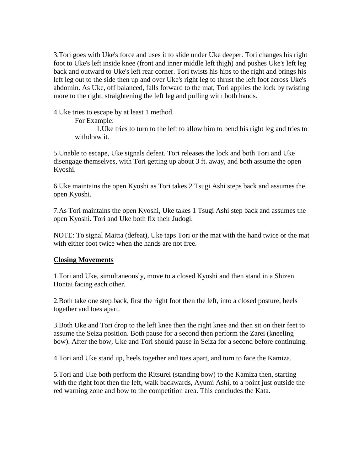3.Tori goes with Uke's force and uses it to slide under Uke deeper. Tori changes his right foot to Uke's left inside knee (front and inner middle left thigh) and pushes Uke's left leg back and outward to Uke's left rear corner. Tori twists his hips to the right and brings his left leg out to the side then up and over Uke's right leg to thrust the left foot across Uke's abdomin. As Uke, off balanced, falls forward to the mat, Tori applies the lock by twisting more to the right, straightening the left leg and pulling with both hands.

4.Uke tries to escape by at least 1 method.

For Example:

1.Uke tries to turn to the left to allow him to bend his right leg and tries to withdraw it.

5.Unable to escape, Uke signals defeat. Tori releases the lock and both Tori and Uke disengage themselves, with Tori getting up about 3 ft. away, and both assume the open Kyoshi.

6.Uke maintains the open Kyoshi as Tori takes 2 Tsugi Ashi steps back and assumes the open Kyoshi.

7.As Tori maintains the open Kyoshi, Uke takes 1 Tsugi Ashi step back and assumes the open Kyoshi. Tori and Uke both fix their Judogi.

NOTE: To signal Maitta (defeat), Uke taps Tori or the mat with the hand twice or the mat with either foot twice when the hands are not free.

### **Closing Movements**

1.Tori and Uke, simultaneously, move to a closed Kyoshi and then stand in a Shizen Hontai facing each other.

2.Both take one step back, first the right foot then the left, into a closed posture, heels together and toes apart.

3.Both Uke and Tori drop to the left knee then the right knee and then sit on their feet to assume the Seiza position. Both pause for a second then perform the Zarei (kneeling bow). After the bow, Uke and Tori should pause in Seiza for a second before continuing.

4.Tori and Uke stand up, heels together and toes apart, and turn to face the Kamiza.

5.Tori and Uke both perform the Ritsurei (standing bow) to the Kamiza then, starting with the right foot then the left, walk backwards, Ayumi Ashi, to a point just outside the red warning zone and bow to the competition area. This concludes the Kata.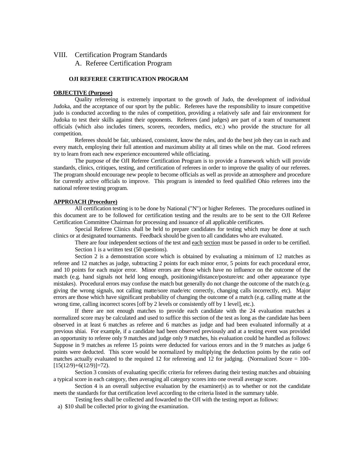#### VIII. Certification Program Standards

A. Referee Certification Program

#### **OJI REFEREE CERTIFICATION PROGRAM**

#### **OBJECTIVE (Purpose)**

Quality refereeing is extremely important to the growth of Judo, the development of individual Judoka, and the acceptance of our sport by the public. Referees have the responsibility to insure competitive judo is conducted according to the rules of competition, providing a relatively safe and fair environment for Judoka to test their skills against their opponents. Referees (and judges) are part of a team of tournament officials (which also includes timers, scorers, recorders, medics, etc.) who provide the structure for all competition.

Referees should be fair, unbiased, consistent, know the rules, and do the best job they can in each and every match, employing their full attention and maximum ability at all times while on the mat. Good referees try to learn from each new experience encountered while officiating.

The purpose of the OJI Referee Certification Program is to provide a framework which will provide standards, clinics, critiques, testing, and certification of referees in order to improve the quality of our referees. The program should encourage new people to become officials as well as provide an atmosphere and procedure for currently active officials to improve. This program is intended to feed qualified Ohio referees into the national referee testing program.

#### **APPROACH (Procedure)**

All certification testing is to be done by National ("N") or higher Referees. The procedures outlined in this document are to be followed for certification testing and the results are to be sent to the OJI Referee Certification Committee Chairman for processing and issuance of all applicable certificates.

Special Referee Clinics shall be held to prepare candidates for testing which may be done at such clinics or at designated tournaments. Feedback should be given to all candidates who are evaluated.

There are four independent sections of the test and each section must be passed in order to be certified. Section 1 is a written test (50 questions).

Section 2 is a demonstration score which is obtained by evaluating a minimum of 12 matches as referee and 12 matches as judge, subtracting 2 points for each minor error, 5 points for each procedural error, and 10 points for each major error. Minor errors are those which have no influence on the outcome of the match (e.g. hand signals not held long enough, positioning/distance/posture/etc and other appearance type mistakes). Procedural errors may confuse the match but generally do not change the outcome of the match (e.g. giving the wrong signals, not calling matte/sore made/etc correctly, changing calls incorrectly, etc). Major errors are those which have significant probability of changing the outcome of a match (e.g. calling matte at the wrong time, calling incorrect scores [off by 2 levels or consistently off by 1 level], etc.).

If there are not enough matches to provide each candidate with the 24 evaluation matches a normalized score may be calculated and used to suffice this section of the test as long as the candidate has been observed in at least 6 matches as referee and 6 matches as judge and had been evaluated informally at a previous shiai. For example, if a candidate had been observed previously and at a testing event was provided an opportunity to referee only 9 matches and judge only 9 matches, his evaluation could be handled as follows: Suppose in 9 matches as referee 15 points were deducted for various errors and in the 9 matches as judge 6 points were deducted. This score would be normalized by multiplying the deduction points by the ratio oof matches actually evaluated to the required 12 for refereeing and 12 for judging. (Normalized Score = 100-  $[15(12/9)+6(12/9)]=72$ .

Section 3 consists of evaluating specific criteria for referees during their testing matches and obtaining a typical score in each category, then averaging all category scores into one overall average score.

Section 4 is an overall subjective evaluation by the examiner(s) as to whether or not the candidate meets the standards for that certification level according to the criteria listed in the summary table.

Testing fees shall be collected and fowarded to the OJI with the testing report as follows:

a) \$10 shall be collected prior to giving the examination.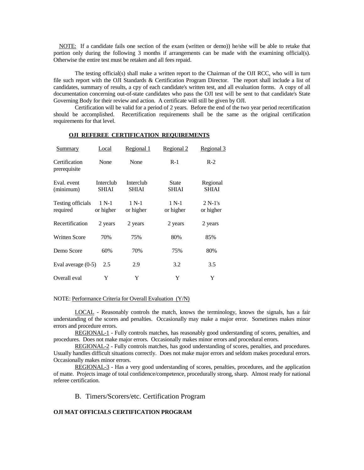NOTE: If a candidate fails one section of the exam (written or demo)) he/she will be able to retake that portion only during the following 3 months if arrangements can be made with the examining official(s). Otherwise the entire test must be retaken and all fees repaid.

The testing official(s) shall make a written report to the Chairman of the OJI RCC, who will in turn file such report with the OJI Standards & Certification Program Director. The report shall include a list of candidates, summary of results, a cpy of each candidate's written test, and all evaluation forms. A copy of all documentation concerning out-of-state candidates who pass the OJI test will be sent to that candidate's State Governing Body for their review and action. A certificate will still be given by OJI.

Certification will be valid for a period of 2 years. Before the end of the two year period recertification should be accomplished. Recertification requirements shall be the same as the original certification requirements for that level.

| <b>Summary</b>                | Local                     | Regional 1                | Regional 2                   | Regional 3               |
|-------------------------------|---------------------------|---------------------------|------------------------------|--------------------------|
| Certification<br>prerequisite | None                      | None                      | $R-1$                        | $R-2$                    |
| Eval. event<br>(minimum)      | Interclub<br><b>SHIAI</b> | Interclub<br><b>SHIAI</b> | <b>State</b><br><b>SHIAI</b> | Regional<br><b>SHIAI</b> |
| Testing officials<br>required | $1 N-1$<br>or higher      | $1 N-1$<br>or higher      | $1 N-1$<br>or higher         | $2 N-1$ 's<br>or higher  |
| Recertification               | 2 years                   | 2 years                   | 2 years                      | 2 years                  |
| <b>Written Score</b>          | 70%                       | 75%                       | 80%                          | 85%                      |
| Demo Score                    | 60%                       | 70%                       | 75%                          | 80%                      |
| Eval average $(0-5)$          | 2.5                       | 2.9                       | 3.2                          | 3.5                      |
| Overall eval                  | Y                         | Y                         | Y                            | Y                        |

#### **OJI REFEREE CERTIFICATION REQUIREMENTS**

#### NOTE: Performance Criteria for Overall Evaluation (Y/N)

LOCAL - Reasonably controls the match, knows the terminology, knows the signals, has a fair understanding of the scores and penalties. Occasionally may make a major error. Sometimes makes minor errors and procedure errors.

REGIONAL-1 - Fully controls matches, has reasonably good understanding of scores, penalties, and procedures. Does not make major errors. Occasionally makes minor errors and procedural errors.

REGIONAL-2 - Fully controls matches, has good understanding of scores, penalties, and procedures. Usually handles difficult situations correctly. Does not make major errors and seldom makes procedural errors. Occasionally makes minor errors.

REGIONAL-3 - Has a very good understanding of scores, penalties, procedures, and the application of matte. Projects image of total confidence/competence, procedurally strong, sharp. Almost ready for national referee certification.

#### B. Timers/Scorers/etc. Certification Program

#### **OJI MAT OFFICIALS CERTIFICATION PROGRAM**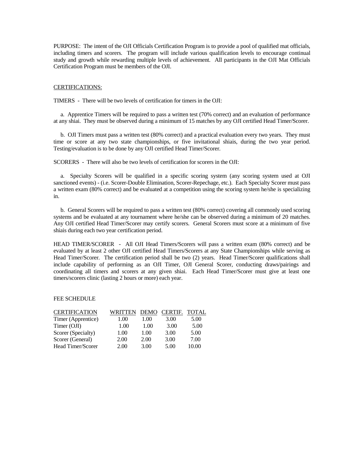PURPOSE: The intent of the OJI Officials Certification Program is to provide a pool of qualified mat officials, including timers and scorers. The program will include various qualification levels to encourage continual study and growth while rewarding multiple levels of achievement. All participants in the OJI Mat Officials Certification Program must be members of the OJI.

#### CERTIFICATIONS:

TIMERS - There will be two levels of certification for timers in the OJI:

 a. Apprentice Timers will be required to pass a written test (70% correct) and an evaluation of performance at any shiai. They must be observed during a minimum of 15 matches by any OJI certified Head Timer/Scorer.

 b. OJI Timers must pass a written test (80% correct) and a practical evaluation every two years. They must time or score at any two state championships, or five invitational shiais, during the two year period. Testing/evaluation is to be done by any OJI certified Head Timer/Scorer.

SCORERS - There will also be two levels of certification for scorers in the OJI:

 a. Specialty Scorers will be qualified in a specific scoring system (any scoring system used at OJI sanctioned events) - (i.e. Scorer-Double Elimination, Scorer-Repechage, etc.). Each Specialty Scorer must pass a written exam (80% correct) and be evaluated at a competition using the scoring system he/she is specializing in.

 b. General Scorers will be required to pass a written test (80% correct) covering all commonly used scoring systems and be evaluated at any tournament where he/she can be observed during a minimum of 20 matches. Any OJI certified Head Timer/Scorer may certify scorers. General Scorers must score at a minimum of five shiais during each two year certification period.

HEAD TIMER/SCORER - All OJI Head Timers/Scorers will pass a written exam (80% correct) and be evaluated by at least 2 other OJI certified Head Timers/Scorers at any State Championships while serving as Head Timer/Scorer. The certification period shall be two (2) years. Head Timer/Scorer qualifications shall include capability of performing as an OJI Timer, OJI General Scorer, conducting draws/pairings and coordinating all timers and scorers at any given shiai. Each Head Timer/Scorer must give at least one timers/scorers clinic (lasting 2 hours or more) each year.

#### FEE SCHEDULE

| <b>CERTIFICATION</b> | WRITTEN | DEMO | <b>CERTIF.</b> | <b>TOTAL</b> |
|----------------------|---------|------|----------------|--------------|
| Timer (Apprentice)   | 1.00    | 1.00 | 3.00           | 5.00         |
| Timer (OJI)          | 1.00    | 1.00 | 3.00           | 5.00         |
| Scorer (Specialty)   | 1.00    | 1.00 | 3.00           | 5.00         |
| Scorer (General)     | 2.00    | 2.00 | 3.00           | 7.00         |
| Head Timer/Scorer    | 2.00    | 3.00 | 5.00           | 10.00        |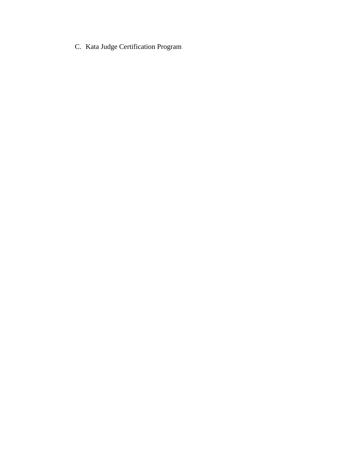C. Kata Judge Certification Program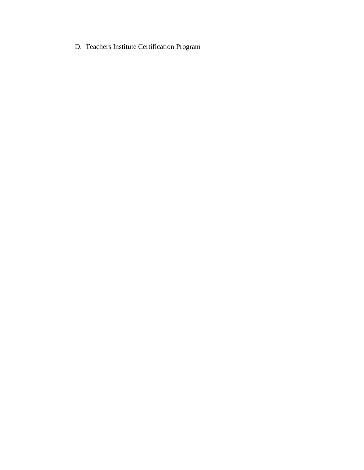D. Teachers Institute Certification Program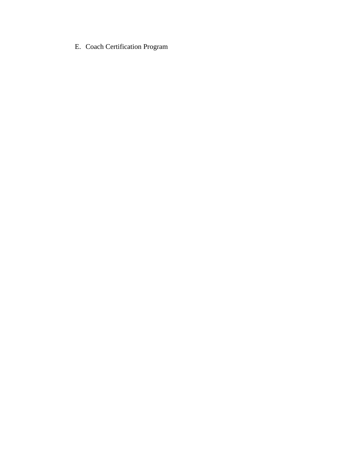E. Coach Certification Program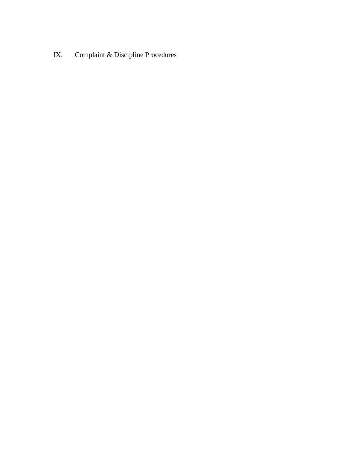IX. Complaint & Discipline Procedures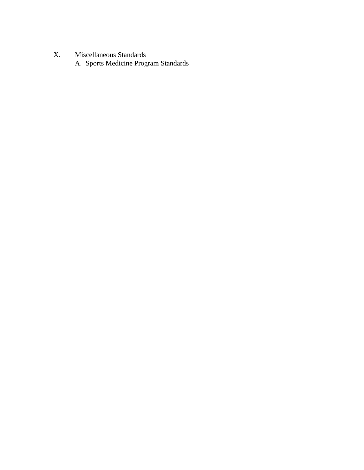X. Miscellaneous Standards A. Sports Medicine Program Standards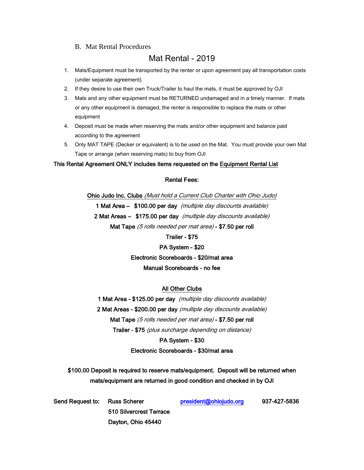#### B. Mat Rental Procedures

# Mat Rental - 2019

- 1. Mats/Equipment must be transported by the renter or upon agreement pay all transportation costs (under separate agreement).
- 2. If they desire to use their own Truck/Trailer to haul the mats, it must be approved by OJI
- 3. Mats and any other equipment must be RETURNED undamaged and in a timely manner. If mats or any other equipment is damaged, the renter is responsible to replace the mats or other equipment
- 4. Deposit must be made when reserving the mats and/or other equipment and balance paid according to the agreement
- 5. Only MAT TAPE (Decker or equivalent) is to be used on the Mat. You must provide your own Mat Tape or arrange (when reserving mats) to buy from OJI

#### This Rental Agreement ONLY includes items requested on the Equipment Rental List

#### Rental Fees:

Ohio Judo Inc. Clubs (Must hold a Current Club Charter with Ohio Judo) 1 Mat Area – \$100.00 per day (multiple day discounts available) 2 Mat Areas – \$175.00 per day (multiple day discounts available) Mat Tape (5 rolls needed per mat area) - \$7.50 per roll

#### Trailer - \$75

PA System - \$20 Electronic Scoreboards - \$20/mat area Manual Scoreboards - no fee

#### All Other Clubs

1 Mat Area - \$125.00 per day (multiple day discounts available) 2 Mat Areas - \$200.00 per day (multiple day discounts available) Mat Tape (5 rolls needed per mat area) - \$7.50 per roll Trailer - \$75 (plus surcharge depending on distance)

#### PA System - \$30

#### Electronic Scoreboards - \$30/mat area

\$100.00 Deposit is required to reserve mats/equipment. Deposit will be returned when mats/equipment are returned in good condition and checked in by OJI

| Send Request to: Russ Scherer |                         | president@ohiojudo.org | 937-427-5836 |
|-------------------------------|-------------------------|------------------------|--------------|
|                               | 510 Silvercrest Terrace |                        |              |
|                               | Dayton, Ohio 45440      |                        |              |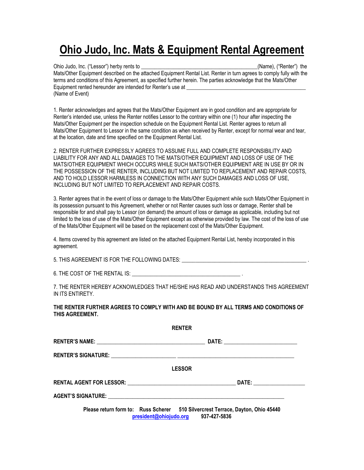# **Ohio Judo, Inc. Mats & Equipment Rental Agreement**

Ohio Judo, Inc. ("Lessor") herby rents to \_\_\_\_\_\_\_\_\_\_\_\_\_\_\_\_\_\_\_\_\_\_\_\_\_\_\_\_\_\_\_\_\_\_\_\_\_\_\_\_\_\_\_(Name), ("Renter") the Mats/Other Equipment described on the attached Equipment Rental List. Renter in turn agrees to comply fully with the terms and conditions of this Agreement, as specified further herein. The parties acknowledge that the Mats/Other Equipment rented hereunder are intended for Renter's use at (Name of Event)

1. Renter acknowledges and agrees that the Mats/Other Equipment are in good condition and are appropriate for Renter's intended use, unless the Renter notifies Lessor to the contrary within one (1) hour after inspecting the Mats/Other Equipment per the inspection schedule on the Equipment Rental List. Renter agrees to return all Mats/Other Equipment to Lessor in the same condition as when received by Renter, except for normal wear and tear, at the location, date and time specified on the Equipment Rental List.

2. RENTER FURTHER EXPRESSLY AGREES TO ASSUME FULL AND COMPLETE RESPONSIBILITY AND LIABILITY FOR ANY AND ALL DAMAGES TO THE MATS/OTHER EQUIPMENT AND LOSS OF USE OF THE MATS/OTHER EQUIPMENT WHICH OCCURS WHILE SUCH MATS/OTHER EQUIPMENT ARE IN USE BY OR IN THE POSSESSION OF THE RENTER, INCLUDING BUT NOT LIMITED TO REPLACEMENT AND REPAIR COSTS, AND TO HOLD LESSOR HARMLESS IN CONNECTION WITH ANY SUCH DAMAGES AND LOSS OF USE, INCLUDING BUT NOT LIMITED TO REPLACEMENT AND REPAIR COSTS.

3. Renter agrees that in the event of loss or damage to the Mats/Other Equipment while such Mats/Other Equipment in its possession pursuant to this Agreement, whether or not Renter causes such loss or damage, Renter shall be responsible for and shall pay to Lessor (on demand) the amount of loss or damage as applicable, including but not limited to the loss of use of the Mats/Other Equipment except as otherwise provided by law. The cost of the loss of use of the Mats/Other Equipment will be based on the replacement cost of the Mats/Other Equipment.

4. Items covered by this agreement are listed on the attached Equipment Rental List, hereby incorporated in this agreement.

5. THIS AGREEMENT IS FOR THE FOLLOWING DATES:

6. THE COST OF THE RENTAL IS:

7. THE RENTER HEREBY ACKNOWLEDGES THAT HE/SHE HAS READ AND UNDERSTANDS THIS AGREEMENT IN ITS ENTIRETY.

**THE RENTER FURTHER AGREES TO COMPLY WITH AND BE BOUND BY ALL TERMS AND CONDITIONS OF THIS AGREEMENT.**

| <b>RENTER</b>                                                                   |
|---------------------------------------------------------------------------------|
|                                                                                 |
|                                                                                 |
| <b>LESSOR</b>                                                                   |
|                                                                                 |
|                                                                                 |
| Please return form to: Russ Scherer 510 Silvercrest Terrace, Dayton, Ohio 45440 |

**[president@ohiojudo.org](mailto:president@ohiojudo.org) 937-427-5836**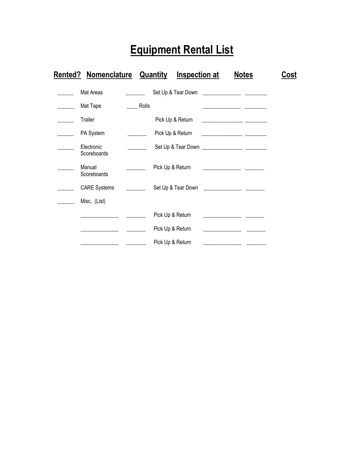# **Equipment Rental List**

| <b>Rented? Nomenclature</b> |       | <b>Quantity</b>  | <b>Inspection at</b> |                                                                                                                       | <b>Notes</b>                                                                                                          | Cost |
|-----------------------------|-------|------------------|----------------------|-----------------------------------------------------------------------------------------------------------------------|-----------------------------------------------------------------------------------------------------------------------|------|
| Mat Areas                   |       |                  | Set Up & Tear Down   |                                                                                                                       |                                                                                                                       |      |
| Mat Tape                    | Rolls |                  |                      |                                                                                                                       | <u> Albanya di Barat di Barat di Barat di Barat di Barat di Barat di Barat di Barat di Barat di Barat di Barat di</u> |      |
| Trailer                     |       |                  | Pick Up & Return     | <u> 1989 - Johann Harry Harry Harry Harry Harry Harry Harry Harry Harry Harry Harry Harry Harry Harry Harry Harry</u> |                                                                                                                       |      |
| PA System                   |       | Pick Up & Return |                      |                                                                                                                       |                                                                                                                       |      |
| Electronic<br>Scoreboards   |       |                  |                      |                                                                                                                       |                                                                                                                       |      |
| Manual<br>Scoreboards       |       | Pick Up & Return |                      |                                                                                                                       |                                                                                                                       |      |
| <b>CARE Systems</b>         |       |                  | Set Up & Tear Down   |                                                                                                                       |                                                                                                                       |      |
| Misc, (List)                |       |                  |                      |                                                                                                                       |                                                                                                                       |      |
|                             |       | Pick Up & Return |                      |                                                                                                                       |                                                                                                                       |      |
|                             |       | Pick Up & Return |                      |                                                                                                                       |                                                                                                                       |      |
|                             |       | Pick Up & Return |                      |                                                                                                                       |                                                                                                                       |      |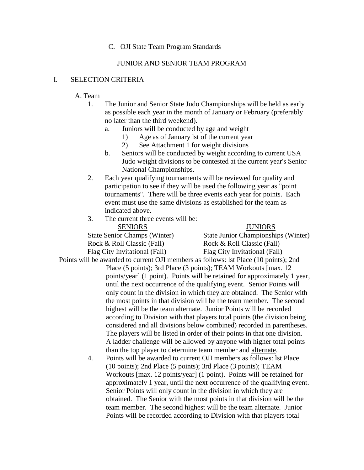#### C. OJI State Team Program Standards

#### JUNIOR AND SENIOR TEAM PROGRAM

#### I. SELECTION CRITERIA

#### A. Team

- 1. The Junior and Senior State Judo Championships will be held as early as possible each year in the month of January or February (preferably no later than the third weekend).
	- a. Juniors will be conducted by age and weight
		- 1) Age as of January lst of the current year
		- 2) See Attachment 1 for weight divisions
	- b. Seniors will be conducted by weight according to current USA Judo weight divisions to be contested at the current year's Senior National Championships.
- 2. Each year qualifying tournaments will be reviewed for quality and participation to see if they will be used the following year as "point tournaments". There will be three events each year for points. Each event must use the same divisions as established for the team as indicated above.
- 3. The current three events will be:

SENIORS JUNIORS Rock & Roll Classic (Fall) Rock & Roll Classic (Fall) Flag City Invitational (Fall) Flag City Invitational (Fall)

State Senior Champs (Winter) State Junior Championships (Winter)

Points will be awarded to current OJI members as follows: lst Place (10 points); 2nd

- Place (5 points); 3rd Place (3 points); TEAM Workouts [max. 12 points/year] (1 point). Points will be retained for approximately 1 year, until the next occurrence of the qualifying event. Senior Points will only count in the division in which they are obtained. The Senior with the most points in that division will be the team member. The second highest will be the team alternate. Junior Points will be recorded according to Division with that players total points (the division being considered and all divisions below combined) recorded in parentheses. The players will be listed in order of their points in that one division. A ladder challenge will be allowed by anyone with higher total points than the top player to determine team member and alternate.
	- 4. Points will be awarded to current OJI members as follows: lst Place (10 points); 2nd Place (5 points); 3rd Place (3 points); TEAM Workouts [max. 12 points/year] (1 point). Points will be retained for approximately 1 year, until the next occurrence of the qualifying event. Senior Points will only count in the division in which they are obtained. The Senior with the most points in that division will be the team member. The second highest will be the team alternate. Junior Points will be recorded according to Division with that players total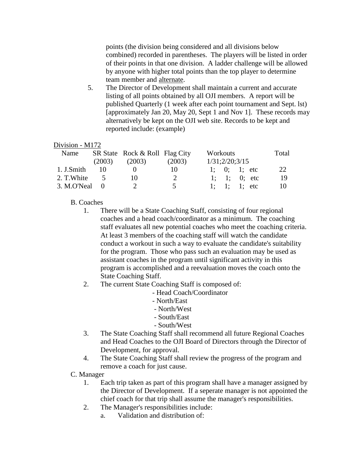points (the division being considered and all divisions below combined) recorded in parentheses. The players will be listed in order of their points in that one division. A ladder challenge will be allowed by anyone with higher total points than the top player to determine team member and alternate.

5. The Director of Development shall maintain a current and accurate listing of all points obtained by all OJI members. A report will be published Quarterly (1 week after each point tournament and Sept. lst) [approximately Jan 20, May 20, Sept 1 and Nov 1]. These records may alternatively be kept on the OJI web site. Records to be kept and reported include: (example)

#### Division - M172

| Name            |        | SR State Rock & Roll Flag City |               | Workouts       | Total |
|-----------------|--------|--------------------------------|---------------|----------------|-------|
|                 | (2003) | (2003)                         | (2003)        | 1/31;2/20;3/15 |       |
| 1. J.Smith      | 10     |                                | 10            | 1; 0; 1; etc   | 22    |
| 2. T. White     | $\sim$ | 10.                            | $\mathcal{D}$ | 1; 1; 0; etc   | 19    |
| $3. M.O'Neal$ 0 |        | $\mathcal{L}$                  | 5             | 1; 1; 1; etc   | 10    |

#### B. Coaches

- 1. There will be a State Coaching Staff, consisting of four regional coaches and a head coach/coordinator as a minimum. The coaching staff evaluates all new potential coaches who meet the coaching criteria. At least 3 members of the coaching staff will watch the candidate conduct a workout in such a way to evaluate the candidate's suitability for the program. Those who pass such an evaluation may be used as assistant coaches in the program until significant activity in this program is accomplished and a reevaluation moves the coach onto the State Coaching Staff.
- 2. The current State Coaching Staff is composed of:
	- Head Coach/Coordinator
	- North/East
	- North/West
	- South/East
	- South/West
- 3. The State Coaching Staff shall recommend all future Regional Coaches and Head Coaches to the OJI Board of Directors through the Director of Development, for approval.
- 4. The State Coaching Staff shall review the progress of the program and remove a coach for just cause.
- C. Manager
	- 1. Each trip taken as part of this program shall have a manager assigned by the Director of Development. If a seperate manager is not appointed the chief coach for that trip shall assume the manager's responsibilities.
	- 2. The Manager's responsibilities include:
		- a. Validation and distribution of: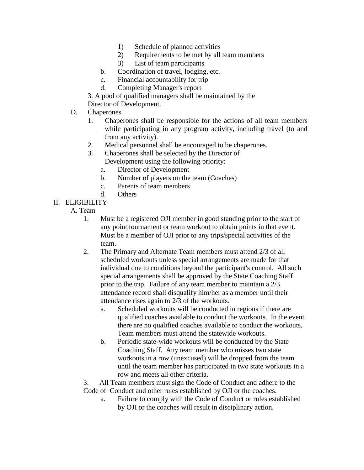- 1) Schedule of planned activities
- 2) Requirements to be met by all team members
- 3) List of team participants
- b. Coordination of travel, lodging, etc.
- c. Financial accountability for trip
- d. Completing Manager's report

3. A pool of qualified managers shall be maintained by the Director of Development.

- D. Chaperones
	- 1. Chaperones shall be responsible for the actions of all team members while participating in any program activity, including travel (to and from any activity).
	- 2. Medical personnel shall be encouraged to be chaperones.
	- 3. Chaperones shall be selected by the Director of

Development using the following priority:

- a. Director of Development
- b. Number of players on the team (Coaches)
- c. Parents of team members
- d. Others
- II. ELIGIBILITY
	- A. Team
		- 1. Must be a registered OJI member in good standing prior to the start of any point tournament or team workout to obtain points in that event. Must be a member of OJI prior to any trips/special activities of the team.
		- 2. The Primary and Alternate Team members must attend 2/3 of all scheduled workouts unless special arrangements are made for that individual due to conditions beyond the participant's control. All such special arrangements shall be approved by the State Coaching Staff prior to the trip. Failure of any team member to maintain a 2/3 attendance record shall disqualify him/her as a member until their attendance rises again to 2/3 of the workouts.
			- a. Scheduled workouts will be conducted in regions if there are qualified coaches available to conduct the workouts. In the event there are no qualified coaches available to conduct the workouts, Team members must attend the statewide workouts.
			- b. Periodic state-wide workouts will be conducted by the State Coaching Staff. Any team member who misses two state workouts in a row (unexcused) will be dropped from the team until the team member has participated in two state workouts in a row and meets all other criteria.

3. All Team members must sign the Code of Conduct and adhere to the Code of Conduct and other rules established by OJI or the coaches.

a. Failure to comply with the Code of Conduct or rules established by OJI or the coaches will result in disciplinary action.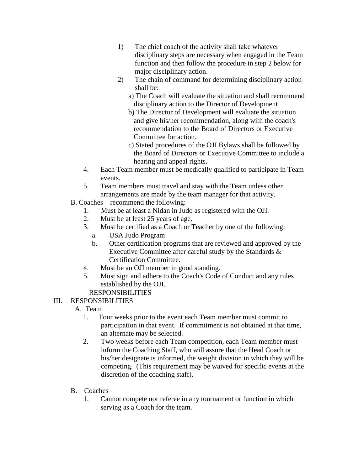- 1) The chief coach of the activity shall take whatever disciplinary steps are necessary when engaged in the Team function and then follow the procedure in step 2 below for major disciplinary action.
- 2) The chain of command for determining disciplinary action shall be:
	- a) The Coach will evaluate the situation and shall recommend disciplinary action to the Director of Development
	- b) The Director of Development will evaluate the situation and give his/her recommendation, along with the coach's recommendation to the Board of Directors or Executive Committee for action.
	- c) Stated procedures of the OJI Bylaws shall be followed by the Board of Directors or Executive Committee to include a hearing and appeal rights.
- 4. Each Team member must be medically qualified to participate in Team events.
- 5. Team members must travel and stay with the Team unless other arrangements are made by the team manager for that activity.
- B. Coaches recommend the following:
	- 1. Must be at least a Nidan in Judo as registered with the OJI.
	- 2. Must be at least 25 years of age.
	- 3. Must be certified as a Coach or Teacher by one of the following:
		- a. USA Judo Program
		- b. Other certification programs that are reviewed and approved by the Executive Committee after careful study by the Standards & Certification Committee.
	- 4. Must be an OJI member in good standing.
	- 5. Must sign and adhere to the Coach's Code of Conduct and any rules established by the OJI.

# RESPONSIBILITIES

# III. RESPONSIBILITIES

- A. Team
	- 1. Four weeks prior to the event each Team member must commit to participation in that event. If commitment is not obtained at that time, an alternate may be selected.
	- 2. Two weeks before each Team competition, each Team member must inform the Coaching Staff, who will assure that the Head Coach or his/her designate is informed, the weight division in which they will be competing. (This requirement may be waived for specific events at the discretion of the coaching staff).
- B. Coaches
	- 1. Cannot compete nor referee in any tournament or function in which serving as a Coach for the team.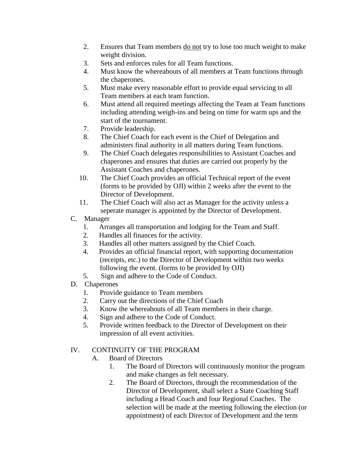- 2. Ensures that Team members do not try to lose too much weight to make weight division.
- 3. Sets and enforces rules for all Team functions.
- 4. Must know the whereabouts of all members at Team functions through the chaperones.
- 5. Must make every reasonable effort to provide equal servicing to all Team members at each team function.
- 6. Must attend all required meetings affecting the Team at Team functions including attending weigh-ins and being on time for warm ups and the start of the tournament.
- 7. Provide leadership.
- 8. The Chief Coach for each event is the Chief of Delegation and administers final authority in all matters during Team functions.
- 9. The Chief Coach delegates responsibilities to Assistant Coaches and chaperones and ensures that duties are carried out properly by the Assistant Coaches and chaperones.
- 10. The Chief Coach provides an official Technical report of the event (forms to be provided by OJI) within 2 weeks after the event to the Director of Development.
- 11. The Chief Coach will also act as Manager for the activity unless a seperate manager is appointed by the Director of Development.
- C. Manager
	- 1. Arranges all transportation and lodging for the Team and Staff.
	- 2. Handles all finances for the activity.
	- 3. Handles all other matters assigned by the Chief Coach.
	- 4. Provides an official financial report, with supporting documentation (receipts, etc.) to the Director of Development within two weeks following the event. (forms to be provided by OJI)
	- 5. Sign and adhere to the Code of Conduct.
- D. Chaperones
	- 1. Provide guidance to Team members
	- 2. Carry out the directions of the Chief Coach
	- 3. Know the whereabouts of all Team members in their charge.
	- 4. Sign and adhere to the Code of Conduct.
	- 5. Provide written feedback to the Director of Development on their impression of all event activities.

### IV. CONTINUITY OF THE PROGRAM

- A. Board of Directors
	- 1. The Board of Directors will continuously monitor the program and make changes as felt necessary.
	- 2. The Board of Directors, through the recommendation of the Director of Development, shall select a State Coaching Staff including a Head Coach and four Regional Coaches. The selection will be made at the meeting following the election (or appointment) of each Director of Development and the term